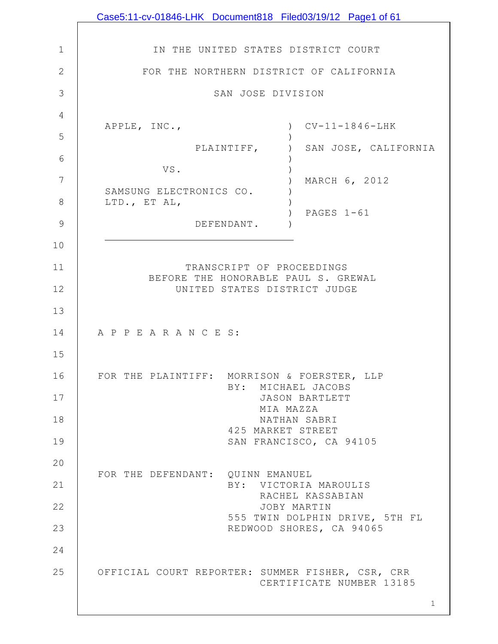|                | Case5:11-cv-01846-LHK Document818 Filed03/19/12 Page1 of 61         |
|----------------|---------------------------------------------------------------------|
|                |                                                                     |
| 1              | IN THE UNITED STATES DISTRICT COURT                                 |
| $\overline{2}$ | FOR THE NORTHERN DISTRICT OF CALIFORNIA                             |
| 3              | SAN JOSE DIVISION                                                   |
| 4              | $CV-11-1846-LHK$<br>APPLE, INC.,                                    |
| 5              |                                                                     |
| 6              | PLAINTIFF,<br>SAN JOSE, CALIFORNIA                                  |
| 7              | VS.<br>MARCH 6, 2012                                                |
| 8              | SAMSUNG ELECTRONICS CO.<br>LTD., ET AL,                             |
| 9              | PAGES 1-61<br>DEFENDANT.                                            |
| 10             |                                                                     |
| 11             | TRANSCRIPT OF PROCEEDINGS                                           |
| 12             | BEFORE THE HONORABLE PAUL S. GREWAL<br>UNITED STATES DISTRICT JUDGE |
| 13             |                                                                     |
| 14             | A P P E A R A N C E S:                                              |
| 15             |                                                                     |
| 16             | FOR THE PLAINTIFF: MORRISON & FOERSTER, LLP                         |
| 17             | BY: MICHAEL JACOBS<br>JASON BARTLETT                                |
| 18             | MIA MAZZA<br>NATHAN SABRI                                           |
| 19             | 425 MARKET STREET<br>SAN FRANCISCO, CA 94105                        |
| 20             |                                                                     |
| 21             | FOR THE DEFENDANT: QUINN EMANUEL<br>BY: VICTORIA MAROULIS           |
| 22             | RACHEL KASSABIAN<br>JOBY MARTIN                                     |
| 23             | 555 TWIN DOLPHIN DRIVE, 5TH FL<br>REDWOOD SHORES, CA 94065          |
| 24             |                                                                     |
| 25             | OFFICIAL COURT REPORTER: SUMMER FISHER, CSR, CRR                    |
|                | CERTIFICATE NUMBER 13185                                            |
|                | $\mathbf{1}$                                                        |

 $\mathbf l$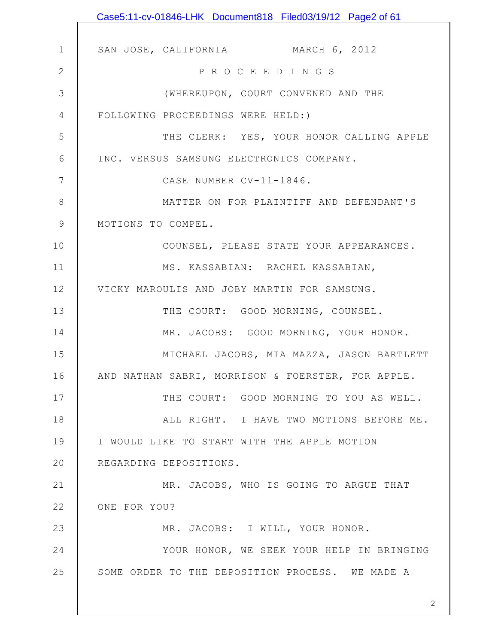|              | Case5:11-cv-01846-LHK Document818 Filed03/19/12 Page2 of 61 |
|--------------|-------------------------------------------------------------|
|              |                                                             |
| $\mathbf{1}$ | SAN JOSE, CALIFORNIA MARCH 6, 2012                          |
| $\mathbf{2}$ | PROCEEDINGS                                                 |
| 3            | (WHEREUPON, COURT CONVENED AND THE                          |
| 4            | FOLLOWING PROCEEDINGS WERE HELD:)                           |
| 5            | THE CLERK: YES, YOUR HONOR CALLING APPLE                    |
| 6            | INC. VERSUS SAMSUNG ELECTRONICS COMPANY.                    |
| 7            | CASE NUMBER CV-11-1846.                                     |
| 8            | MATTER ON FOR PLAINTIFF AND DEFENDANT'S                     |
| 9            | MOTIONS TO COMPEL.                                          |
| 10           | COUNSEL, PLEASE STATE YOUR APPEARANCES.                     |
| 11           | MS. KASSABIAN: RACHEL KASSABIAN,                            |
| 12           | VICKY MAROULIS AND JOBY MARTIN FOR SAMSUNG.                 |
| 13           | THE COURT: GOOD MORNING, COUNSEL.                           |
| 14           | MR. JACOBS: GOOD MORNING, YOUR HONOR.                       |
| 15           | MICHAEL JACOBS, MIA MAZZA, JASON BARTLETT                   |
| 16           | AND NATHAN SABRI, MORRISON & FOERSTER, FOR APPLE.           |
| 17           | THE COURT: GOOD MORNING TO YOU AS WELL.                     |
| 18           | ALL RIGHT. I HAVE TWO MOTIONS BEFORE ME.                    |
| 19           | I WOULD LIKE TO START WITH THE APPLE MOTION                 |
| 20           | REGARDING DEPOSITIONS.                                      |
| 21           | MR. JACOBS, WHO IS GOING TO ARGUE THAT                      |
| 22           | ONE FOR YOU?                                                |
| 23           | MR. JACOBS: I WILL, YOUR HONOR.                             |
| 24           | YOUR HONOR, WE SEEK YOUR HELP IN BRINGING                   |
| 25           | SOME ORDER TO THE DEPOSITION PROCESS. WE MADE A             |
|              |                                                             |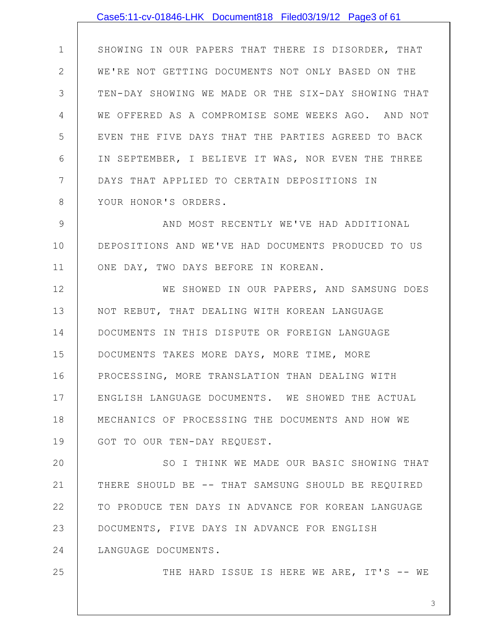## SHOWING IN OUR PAPERS THAT THERE IS DISORDER, THAT WE'RE NOT GETTING DOCUMENTS NOT ONLY BASED ON THE Case5:11-cv-01846-LHK Document818 Filed03/19/12 Page3 of 61

1

2

25

3 4 5 6 7 8 TEN-DAY SHOWING WE MADE OR THE SIX-DAY SHOWING THAT WE OFFERED AS A COMPROMISE SOME WEEKS AGO. AND NOT EVEN THE FIVE DAYS THAT THE PARTIES AGREED TO BACK IN SEPTEMBER, I BELIEVE IT WAS, NOR EVEN THE THREE DAYS THAT APPLIED TO CERTAIN DEPOSITIONS IN YOUR HONOR'S ORDERS.

9 10 11 AND MOST RECENTLY WE'VE HAD ADDITIONAL DEPOSITIONS AND WE'VE HAD DOCUMENTS PRODUCED TO US ONE DAY, TWO DAYS BEFORE IN KOREAN.

12 13 14 15 16 17 18 19 WE SHOWED IN OUR PAPERS, AND SAMSUNG DOES NOT REBUT, THAT DEALING WITH KOREAN LANGUAGE DOCUMENTS IN THIS DISPUTE OR FOREIGN LANGUAGE DOCUMENTS TAKES MORE DAYS, MORE TIME, MORE PROCESSING, MORE TRANSLATION THAN DEALING WITH ENGLISH LANGUAGE DOCUMENTS. WE SHOWED THE ACTUAL MECHANICS OF PROCESSING THE DOCUMENTS AND HOW WE GOT TO OUR TEN-DAY REQUEST.

20 21 22 23 24 SO I THINK WE MADE OUR BASIC SHOWING THAT THERE SHOULD BE -- THAT SAMSUNG SHOULD BE REQUIRED TO PRODUCE TEN DAYS IN ADVANCE FOR KOREAN LANGUAGE DOCUMENTS, FIVE DAYS IN ADVANCE FOR ENGLISH LANGUAGE DOCUMENTS.

THE HARD ISSUE IS HERE WE ARE, IT'S -- WE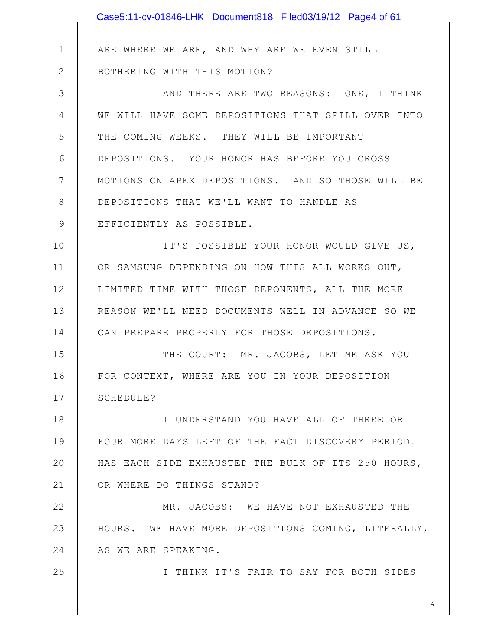|              | Case5:11-cv-01846-LHK Document818 Filed03/19/12 Page4 of 61 |
|--------------|-------------------------------------------------------------|
|              |                                                             |
| $\mathbf{1}$ | ARE WHERE WE ARE, AND WHY ARE WE EVEN STILL                 |
| $\mathbf{2}$ | BOTHERING WITH THIS MOTION?                                 |
| 3            | AND THERE ARE TWO REASONS: ONE, I THINK                     |
| 4            | WE WILL HAVE SOME DEPOSITIONS THAT SPILL OVER INTO          |
| 5            | THE COMING WEEKS. THEY WILL BE IMPORTANT                    |
| 6            | DEPOSITIONS. YOUR HONOR HAS BEFORE YOU CROSS                |
| 7            | MOTIONS ON APEX DEPOSITIONS. AND SO THOSE WILL BE           |
| 8            | DEPOSITIONS THAT WE'LL WANT TO HANDLE AS                    |
| 9            | EFFICIENTLY AS POSSIBLE.                                    |
| 10           | IT'S POSSIBLE YOUR HONOR WOULD GIVE US,                     |
| 11           | OR SAMSUNG DEPENDING ON HOW THIS ALL WORKS OUT,             |
| 12           | LIMITED TIME WITH THOSE DEPONENTS, ALL THE MORE             |
| 13           | REASON WE'LL NEED DOCUMENTS WELL IN ADVANCE SO WE           |
| 14           | CAN PREPARE PROPERLY FOR THOSE DEPOSITIONS.                 |
| 15           | THE COURT: MR. JACOBS, LET ME ASK YOU                       |
| 16           | FOR CONTEXT, WHERE ARE YOU IN YOUR DEPOSITION               |
| 17           | SCHEDULE?                                                   |
| 18           | I UNDERSTAND YOU HAVE ALL OF THREE OR                       |
| 19           | FOUR MORE DAYS LEFT OF THE FACT DISCOVERY PERIOD.           |
| 20           | HAS EACH SIDE EXHAUSTED THE BULK OF ITS 250 HOURS,          |
| 21           | OR WHERE DO THINGS STAND?                                   |
| 22           | MR. JACOBS: WE HAVE NOT EXHAUSTED THE                       |
| 23           | HOURS. WE HAVE MORE DEPOSITIONS COMING, LITERALLY,          |
| 24           | AS WE ARE SPEAKING.                                         |
| 25           | I THINK IT'S FAIR TO SAY FOR BOTH SIDES                     |
|              |                                                             |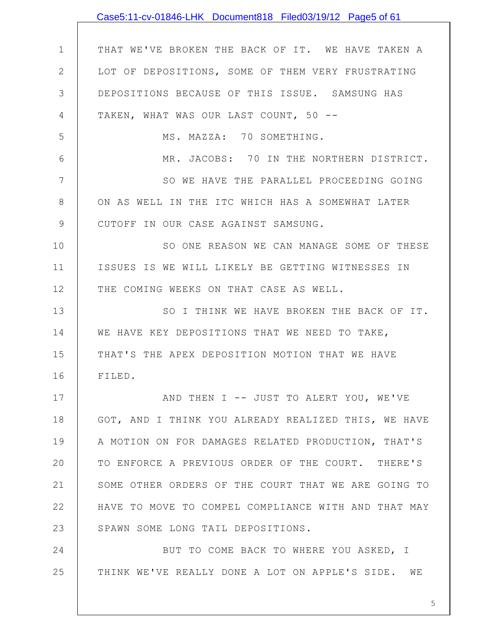|               | Case5:11-cv-01846-LHK Document818 Filed03/19/12 Page5 of 61 |
|---------------|-------------------------------------------------------------|
|               |                                                             |
| $\mathbf 1$   | THAT WE'VE BROKEN THE BACK OF IT. WE HAVE TAKEN A           |
| $\mathbf{2}$  | LOT OF DEPOSITIONS, SOME OF THEM VERY FRUSTRATING           |
| 3             | DEPOSITIONS BECAUSE OF THIS ISSUE. SAMSUNG HAS              |
| 4             | TAKEN, WHAT WAS OUR LAST COUNT, 50 --                       |
| 5             | MS. MAZZA: 70 SOMETHING.                                    |
| 6             | MR. JACOBS: 70 IN THE NORTHERN DISTRICT.                    |
| 7             | SO WE HAVE THE PARALLEL PROCEEDING GOING                    |
| $8\,$         | ON AS WELL IN THE ITC WHICH HAS A SOMEWHAT LATER            |
| $\mathcal{G}$ | CUTOFF IN OUR CASE AGAINST SAMSUNG.                         |
| 10            | SO ONE REASON WE CAN MANAGE SOME OF THESE                   |
| 11            | ISSUES IS WE WILL LIKELY BE GETTING WITNESSES IN            |
| 12            | THE COMING WEEKS ON THAT CASE AS WELL.                      |
| 13            | SO I THINK WE HAVE BROKEN THE BACK OF IT.                   |
| 14            | WE HAVE KEY DEPOSITIONS THAT WE NEED TO TAKE,               |
| 15            | THAT'S THE APEX DEPOSITION MOTION THAT WE HAVE              |
| 16            | FILED.                                                      |
| 17            | AND THEN I -- JUST TO ALERT YOU, WE'VE                      |
| 18            | GOT, AND I THINK YOU ALREADY REALIZED THIS, WE HAVE         |
| 19            | A MOTION ON FOR DAMAGES RELATED PRODUCTION, THAT'S          |
| 20            | TO ENFORCE A PREVIOUS ORDER OF THE COURT. THERE'S           |
| 21            | SOME OTHER ORDERS OF THE COURT THAT WE ARE GOING TO         |
| 22            | HAVE TO MOVE TO COMPEL COMPLIANCE WITH AND THAT MAY         |
| 23            | SPAWN SOME LONG TAIL DEPOSITIONS.                           |
| 24            | BUT TO COME BACK TO WHERE YOU ASKED, I                      |
| 25            | THINK WE'VE REALLY DONE A LOT ON APPLE'S SIDE. WE           |
|               |                                                             |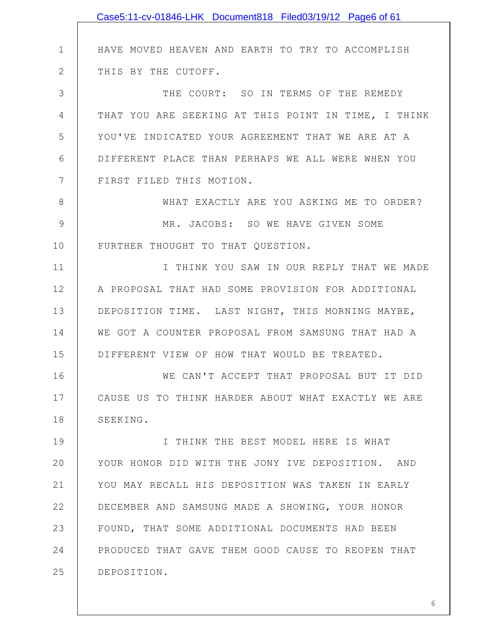|              | Case5:11-cv-01846-LHK Document818 Filed03/19/12 Page6 of 61 |
|--------------|-------------------------------------------------------------|
|              |                                                             |
| $\mathbf 1$  | HAVE MOVED HEAVEN AND EARTH TO TRY TO ACCOMPLISH            |
| $\mathbf{2}$ | THIS BY THE CUTOFF.                                         |
| 3            | THE COURT: SO IN TERMS OF THE REMEDY                        |
| 4            | THAT YOU ARE SEEKING AT THIS POINT IN TIME, I THINK         |
| 5            | YOU'VE INDICATED YOUR AGREEMENT THAT WE ARE AT A            |
| 6            | DIFFERENT PLACE THAN PERHAPS WE ALL WERE WHEN YOU           |
| 7            | FIRST FILED THIS MOTION.                                    |
| 8            | WHAT EXACTLY ARE YOU ASKING ME TO ORDER?                    |
| 9            | MR. JACOBS: SO WE HAVE GIVEN SOME                           |
| 10           | FURTHER THOUGHT TO THAT QUESTION.                           |
| 11           | I THINK YOU SAW IN OUR REPLY THAT WE MADE                   |
| 12           | A PROPOSAL THAT HAD SOME PROVISION FOR ADDITIONAL           |
| 13           | DEPOSITION TIME. LAST NIGHT, THIS MORNING MAYBE,            |
| 14           | WE GOT A COUNTER PROPOSAL FROM SAMSUNG THAT HAD A           |
| 15           | DIFFERENT VIEW OF HOW THAT WOULD BE TREATED.                |
| 16           | WE CAN'T ACCEPT THAT PROPOSAL BUT IT DID                    |
| 17           | CAUSE US TO THINK HARDER ABOUT WHAT EXACTLY WE ARE          |
| 18           | SEEKING.                                                    |
| 19           | I THINK THE BEST MODEL HERE IS WHAT                         |
| 20           | YOUR HONOR DID WITH THE JONY IVE DEPOSITION. AND            |
| 21           | YOU MAY RECALL HIS DEPOSITION WAS TAKEN IN EARLY            |
| 22           | DECEMBER AND SAMSUNG MADE A SHOWING, YOUR HONOR             |
| 23           | FOUND, THAT SOME ADDITIONAL DOCUMENTS HAD BEEN              |
| 24           | PRODUCED THAT GAVE THEM GOOD CAUSE TO REOPEN THAT           |
| 25           | DEPOSITION.                                                 |
|              |                                                             |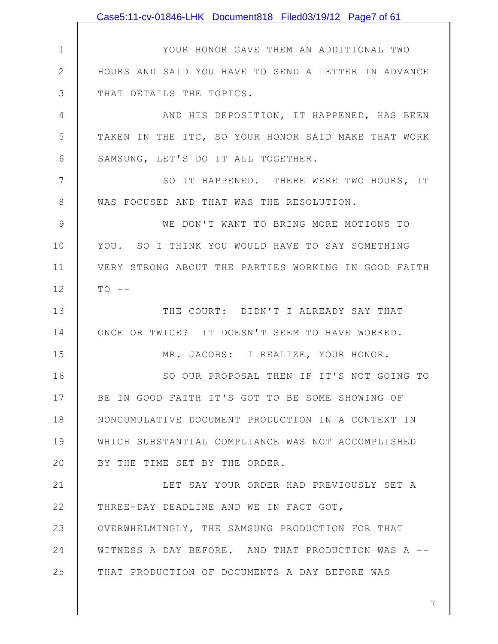1 2 3 4 5 6 7 8 9 10 11 12 13 14 15 16 17 18 19 20 21 22 23 24 25 YOUR HONOR GAVE THEM AN ADDITIONAL TWO HOURS AND SAID YOU HAVE TO SEND A LETTER IN ADVANCE THAT DETAILS THE TOPICS. AND HIS DEPOSITION, IT HAPPENED, HAS BEEN TAKEN IN THE ITC, SO YOUR HONOR SAID MAKE THAT WORK SAMSUNG, LET'S DO IT ALL TOGETHER. SO IT HAPPENED. THERE WERE TWO HOURS, IT WAS FOCUSED AND THAT WAS THE RESOLUTION. WE DON'T WANT TO BRING MORE MOTIONS TO YOU. SO I THINK YOU WOULD HAVE TO SAY SOMETHING VERY STRONG ABOUT THE PARTIES WORKING IN GOOD FAITH  $TO - -$ THE COURT: DIDN'T I ALREADY SAY THAT ONCE OR TWICE? IT DOESN'T SEEM TO HAVE WORKED. MR. JACOBS: I REALIZE, YOUR HONOR. SO OUR PROPOSAL THEN IF IT'S NOT GOING TO BE IN GOOD FAITH IT'S GOT TO BE SOME SHOWING OF NONCUMULATIVE DOCUMENT PRODUCTION IN A CONTEXT IN WHICH SUBSTANTIAL COMPLIANCE WAS NOT ACCOMPLISHED BY THE TIME SET BY THE ORDER. LET SAY YOUR ORDER HAD PREVIOUSLY SET A THREE-DAY DEADLINE AND WE IN FACT GOT, OVERWHELMINGLY, THE SAMSUNG PRODUCTION FOR THAT WITNESS A DAY BEFORE. AND THAT PRODUCTION WAS A -- THAT PRODUCTION OF DOCUMENTS A DAY BEFORE WAS Case5:11-cv-01846-LHK Document818 Filed03/19/12 Page7 of 61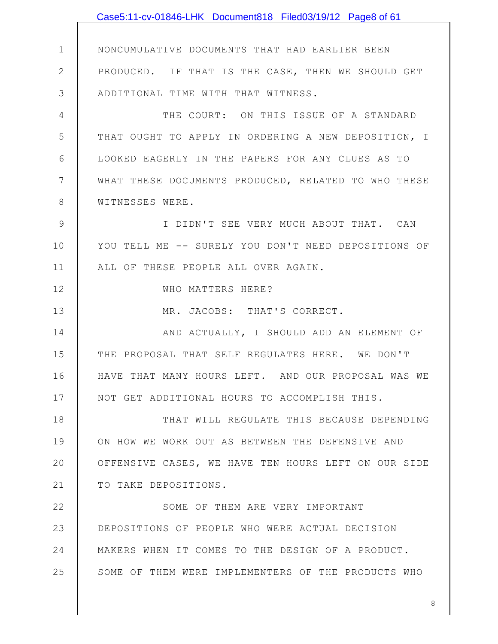1 2 3 4 5 6 7 8 9 10 11 12 13 14 15 16 17 18 19 20 21 22 23 24 25 NONCUMULATIVE DOCUMENTS THAT HAD EARLIER BEEN PRODUCED. IF THAT IS THE CASE, THEN WE SHOULD GET ADDITIONAL TIME WITH THAT WITNESS. THE COURT: ON THIS ISSUE OF A STANDARD THAT OUGHT TO APPLY IN ORDERING A NEW DEPOSITION, I LOOKED EAGERLY IN THE PAPERS FOR ANY CLUES AS TO WHAT THESE DOCUMENTS PRODUCED, RELATED TO WHO THESE WITNESSES WERE. I DIDN'T SEE VERY MUCH ABOUT THAT. CAN YOU TELL ME -- SURELY YOU DON'T NEED DEPOSITIONS OF ALL OF THESE PEOPLE ALL OVER AGAIN. WHO MATTERS HERE? MR. JACOBS: THAT'S CORRECT. AND ACTUALLY, I SHOULD ADD AN ELEMENT OF THE PROPOSAL THAT SELF REGULATES HERE. WE DON'T HAVE THAT MANY HOURS LEFT. AND OUR PROPOSAL WAS WE NOT GET ADDITIONAL HOURS TO ACCOMPLISH THIS. THAT WILL REGULATE THIS BECAUSE DEPENDING ON HOW WE WORK OUT AS BETWEEN THE DEFENSIVE AND OFFENSIVE CASES, WE HAVE TEN HOURS LEFT ON OUR SIDE TO TAKE DEPOSITIONS. SOME OF THEM ARE VERY IMPORTANT DEPOSITIONS OF PEOPLE WHO WERE ACTUAL DECISION MAKERS WHEN IT COMES TO THE DESIGN OF A PRODUCT. SOME OF THEM WERE IMPLEMENTERS OF THE PRODUCTS WHO Case5:11-cv-01846-LHK Document818 Filed03/19/12 Page8 of 61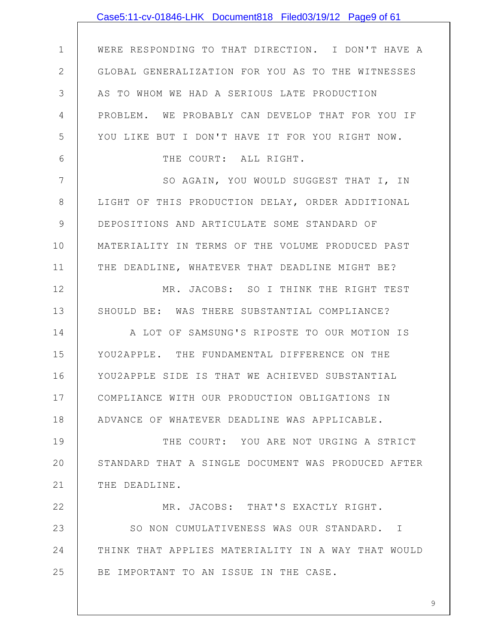|              | Case5:11-cv-01846-LHK Document818 Filed03/19/12 Page9 of 61 |
|--------------|-------------------------------------------------------------|
|              |                                                             |
| $\mathbf 1$  | WERE RESPONDING TO THAT DIRECTION. I DON'T HAVE A           |
| $\mathbf{2}$ | GLOBAL GENERALIZATION FOR YOU AS TO THE WITNESSES           |
| 3            | AS TO WHOM WE HAD A SERIOUS LATE PRODUCTION                 |
| 4            | PROBLEM. WE PROBABLY CAN DEVELOP THAT FOR YOU IF            |
| 5            | YOU LIKE BUT I DON'T HAVE IT FOR YOU RIGHT NOW.             |
| 6            | THE COURT: ALL RIGHT.                                       |
| 7            | SO AGAIN, YOU WOULD SUGGEST THAT I, IN                      |
| 8            | LIGHT OF THIS PRODUCTION DELAY, ORDER ADDITIONAL            |
| $\mathsf 9$  | DEPOSITIONS AND ARTICULATE SOME STANDARD OF                 |
| 10           | MATERIALITY IN TERMS OF THE VOLUME PRODUCED PAST            |
| 11           | THE DEADLINE, WHATEVER THAT DEADLINE MIGHT BE?              |
| 12           | MR. JACOBS: SO I THINK THE RIGHT TEST                       |
| 13           | SHOULD BE: WAS THERE SUBSTANTIAL COMPLIANCE?                |
| 14           | A LOT OF SAMSUNG'S RIPOSTE TO OUR MOTION IS                 |
| 15           | YOU2APPLE. THE FUNDAMENTAL DIFFERENCE ON THE                |
| 16           | YOU2APPLE SIDE IS THAT WE ACHIEVED SUBSTANTIAL              |
| 17           | COMPLIANCE WITH OUR PRODUCTION OBLIGATIONS IN               |
| 18           | ADVANCE OF WHATEVER DEADLINE WAS APPLICABLE.                |
| 19           | THE COURT: YOU ARE NOT URGING A STRICT                      |
| 20           | STANDARD THAT A SINGLE DOCUMENT WAS PRODUCED AFTER          |
| 21           | THE DEADLINE.                                               |
| 22           | MR. JACOBS: THAT'S EXACTLY RIGHT.                           |
| 23           | SO NON CUMULATIVENESS WAS OUR STANDARD. I                   |
| 24           | THINK THAT APPLIES MATERIALITY IN A WAY THAT WOULD          |
| 25           | BE IMPORTANT TO AN ISSUE IN THE CASE.                       |
|              |                                                             |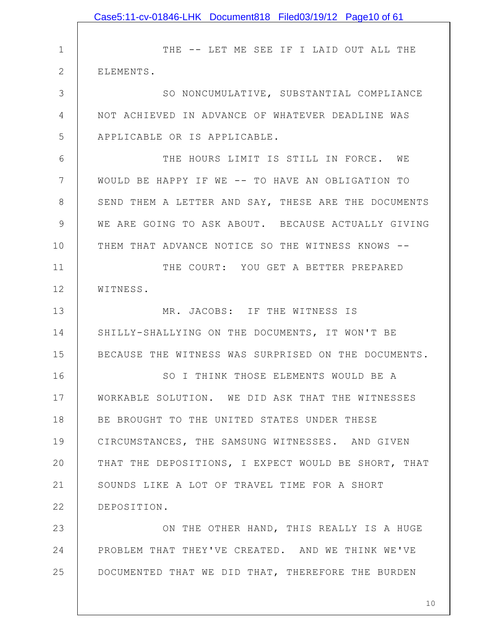|              | Case5:11-cv-01846-LHK Document818 Filed03/19/12 Page10 of 61 |
|--------------|--------------------------------------------------------------|
|              |                                                              |
| $\mathbf 1$  | THE -- LET ME SEE IF I LAID OUT ALL THE                      |
| $\mathbf{2}$ | ELEMENTS.                                                    |
| 3            | SO NONCUMULATIVE, SUBSTANTIAL COMPLIANCE                     |
| 4            | NOT ACHIEVED IN ADVANCE OF WHATEVER DEADLINE WAS             |
| 5            | APPLICABLE OR IS APPLICABLE.                                 |
| 6            | THE HOURS LIMIT IS STILL IN FORCE. WE                        |
| 7            | WOULD BE HAPPY IF WE -- TO HAVE AN OBLIGATION TO             |
| 8            | SEND THEM A LETTER AND SAY, THESE ARE THE DOCUMENTS          |
| 9            | WE ARE GOING TO ASK ABOUT. BECAUSE ACTUALLY GIVING           |
| 10           | THEM THAT ADVANCE NOTICE SO THE WITNESS KNOWS --             |
| 11           | THE COURT: YOU GET A BETTER PREPARED                         |
| 12           | WITNESS.                                                     |
| 13           | MR. JACOBS: IF THE WITNESS IS                                |
| 14           | SHILLY-SHALLYING ON THE DOCUMENTS, IT WON'T BE               |
| 15           | BECAUSE THE WITNESS WAS SURPRISED ON THE DOCUMENTS.          |
| 16           | SO I THINK THOSE ELEMENTS WOULD BE A                         |
| 17           | WORKABLE SOLUTION. WE DID ASK THAT THE WITNESSES             |
| 18           | BE BROUGHT TO THE UNITED STATES UNDER THESE                  |
| 19           | CIRCUMSTANCES, THE SAMSUNG WITNESSES. AND GIVEN              |
| 20           | THAT THE DEPOSITIONS, I EXPECT WOULD BE SHORT, THAT          |
| 21           | SOUNDS LIKE A LOT OF TRAVEL TIME FOR A SHORT                 |
| 22           | DEPOSITION.                                                  |
| 23           | ON THE OTHER HAND, THIS REALLY IS A HUGE                     |
| 24           | PROBLEM THAT THEY'VE CREATED. AND WE THINK WE'VE             |
| 25           | DOCUMENTED THAT WE DID THAT, THEREFORE THE BURDEN            |
|              |                                                              |
|              | 10 <sub>1</sub>                                              |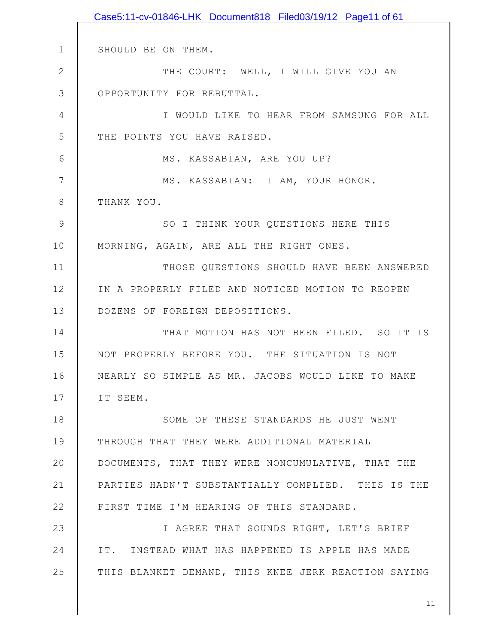1 2 3 4 5 6 7 8 9 10 11 12 13 14 15 16 17 18 19 20 21 22 23 24 25 SHOULD BE ON THEM. THE COURT: WELL, I WILL GIVE YOU AN OPPORTUNITY FOR REBUTTAL. I WOULD LIKE TO HEAR FROM SAMSUNG FOR ALL THE POINTS YOU HAVE RAISED. MS. KASSABIAN, ARE YOU UP? MS. KASSABIAN: I AM, YOUR HONOR. THANK YOU. SO I THINK YOUR QUESTIONS HERE THIS MORNING, AGAIN, ARE ALL THE RIGHT ONES. THOSE QUESTIONS SHOULD HAVE BEEN ANSWERED IN A PROPERLY FILED AND NOTICED MOTION TO REOPEN DOZENS OF FOREIGN DEPOSITIONS. THAT MOTION HAS NOT BEEN FILED. SO IT IS NOT PROPERLY BEFORE YOU. THE SITUATION IS NOT NEARLY SO SIMPLE AS MR. JACOBS WOULD LIKE TO MAKE IT SEEM. SOME OF THESE STANDARDS HE JUST WENT THROUGH THAT THEY WERE ADDITIONAL MATERIAL DOCUMENTS, THAT THEY WERE NONCUMULATIVE, THAT THE PARTIES HADN'T SUBSTANTIALLY COMPLIED. THIS IS THE FIRST TIME I'M HEARING OF THIS STANDARD. I AGREE THAT SOUNDS RIGHT, LET'S BRIEF IT. INSTEAD WHAT HAS HAPPENED IS APPLE HAS MADE THIS BLANKET DEMAND, THIS KNEE JERK REACTION SAYING Case5:11-cv-01846-LHK Document818 Filed03/19/12 Page11 of 61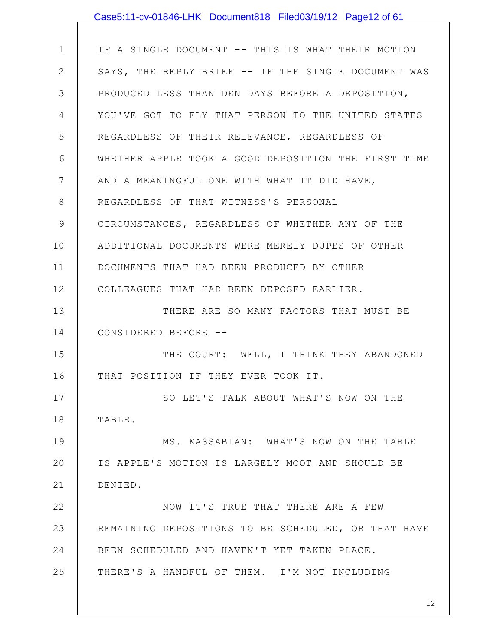|                | Case5:11-cv-01846-LHK Document818 Filed03/19/12 Page12 of 61 |
|----------------|--------------------------------------------------------------|
|                |                                                              |
| $\mathbf 1$    | IF A SINGLE DOCUMENT -- THIS IS WHAT THEIR MOTION            |
| $\mathbf{2}$   | SAYS, THE REPLY BRIEF -- IF THE SINGLE DOCUMENT WAS          |
| 3              | PRODUCED LESS THAN DEN DAYS BEFORE A DEPOSITION,             |
| 4              | YOU'VE GOT TO FLY THAT PERSON TO THE UNITED STATES           |
| 5              | REGARDLESS OF THEIR RELEVANCE, REGARDLESS OF                 |
| 6              | WHETHER APPLE TOOK A GOOD DEPOSITION THE FIRST TIME          |
| $7\phantom{.}$ | AND A MEANINGFUL ONE WITH WHAT IT DID HAVE,                  |
| $8\,$          | REGARDLESS OF THAT WITNESS'S PERSONAL                        |
| 9              | CIRCUMSTANCES, REGARDLESS OF WHETHER ANY OF THE              |
| 10             | ADDITIONAL DOCUMENTS WERE MERELY DUPES OF OTHER              |
| 11             | DOCUMENTS THAT HAD BEEN PRODUCED BY OTHER                    |
| 12             | COLLEAGUES THAT HAD BEEN DEPOSED EARLIER.                    |
| 13             | THERE ARE SO MANY FACTORS THAT MUST BE                       |
| 14             | CONSIDERED BEFORE --                                         |
| 15             | THE COURT: WELL, I THINK THEY ABANDONED                      |
| 16             | THAT POSITION IF THEY EVER TOOK IT.                          |
| 17             | SO LET'S TALK ABOUT WHAT'S NOW ON THE                        |
| 18             | TABLE.                                                       |
| 19             | MS. KASSABIAN: WHAT'S NOW ON THE TABLE                       |
| 20             | IS APPLE'S MOTION IS LARGELY MOOT AND SHOULD BE              |
| 21             | DENIED.                                                      |
| 22             | NOW IT'S TRUE THAT THERE ARE A FEW                           |
| 23             | REMAINING DEPOSITIONS TO BE SCHEDULED, OR THAT HAVE          |
| 24             | BEEN SCHEDULED AND HAVEN'T YET TAKEN PLACE.                  |
| 25             | THERE'S A HANDFUL OF THEM. I'M NOT INCLUDING                 |
|                |                                                              |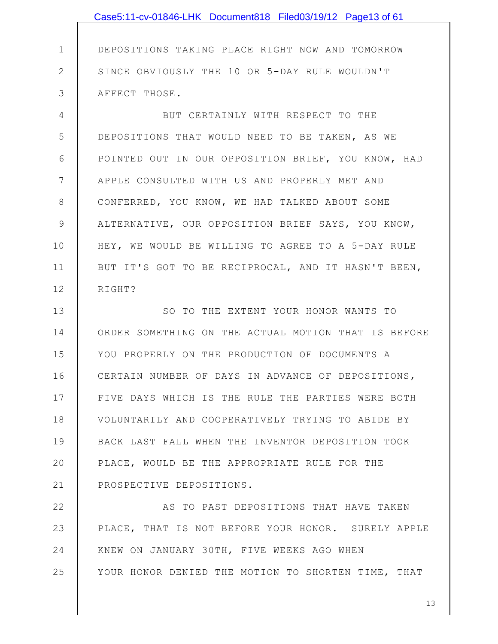1 2 3 4 5 6 7 8 9 10 11 12 13 14 15 16 17 18 19 20 21 22 DEPOSITIONS TAKING PLACE RIGHT NOW AND TOMORROW SINCE OBVIOUSLY THE 10 OR 5-DAY RULE WOULDN'T AFFECT THOSE. BUT CERTAINLY WITH RESPECT TO THE DEPOSITIONS THAT WOULD NEED TO BE TAKEN, AS WE POINTED OUT IN OUR OPPOSITION BRIEF, YOU KNOW, HAD APPLE CONSULTED WITH US AND PROPERLY MET AND CONFERRED, YOU KNOW, WE HAD TALKED ABOUT SOME ALTERNATIVE, OUR OPPOSITION BRIEF SAYS, YOU KNOW, HEY, WE WOULD BE WILLING TO AGREE TO A 5-DAY RULE BUT IT'S GOT TO BE RECIPROCAL, AND IT HASN'T BEEN, RIGHT? SO TO THE EXTENT YOUR HONOR WANTS TO ORDER SOMETHING ON THE ACTUAL MOTION THAT IS BEFORE YOU PROPERLY ON THE PRODUCTION OF DOCUMENTS A CERTAIN NUMBER OF DAYS IN ADVANCE OF DEPOSITIONS, FIVE DAYS WHICH IS THE RULE THE PARTIES WERE BOTH VOLUNTARILY AND COOPERATIVELY TRYING TO ABIDE BY BACK LAST FALL WHEN THE INVENTOR DEPOSITION TOOK PLACE, WOULD BE THE APPROPRIATE RULE FOR THE PROSPECTIVE DEPOSITIONS. AS TO PAST DEPOSITIONS THAT HAVE TAKEN Case5:11-cv-01846-LHK Document818 Filed03/19/12 Page13 of 61

23 24 25 PLACE, THAT IS NOT BEFORE YOUR HONOR. SURELY APPLE KNEW ON JANUARY 30TH, FIVE WEEKS AGO WHEN YOUR HONOR DENIED THE MOTION TO SHORTEN TIME, THAT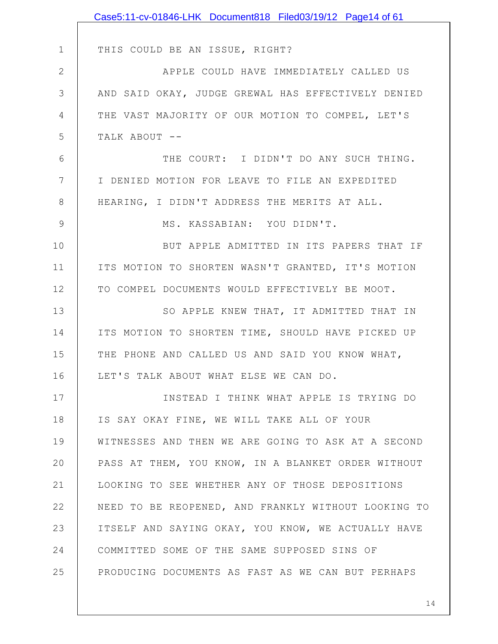|              | Case5:11-cv-01846-LHK Document818 Filed03/19/12 Page14 of 61 |
|--------------|--------------------------------------------------------------|
|              |                                                              |
| $\mathbf 1$  | THIS COULD BE AN ISSUE, RIGHT?                               |
| $\mathbf{2}$ | APPLE COULD HAVE IMMEDIATELY CALLED US                       |
| 3            | AND SAID OKAY, JUDGE GREWAL HAS EFFECTIVELY DENIED           |
| 4            | THE VAST MAJORITY OF OUR MOTION TO COMPEL, LET'S             |
| 5            | TALK ABOUT --                                                |
| 6            | THE COURT: I DIDN'T DO ANY SUCH THING.                       |
| 7            | I DENIED MOTION FOR LEAVE TO FILE AN EXPEDITED               |
| 8            | HEARING, I DIDN'T ADDRESS THE MERITS AT ALL.                 |
| $\mathsf 9$  | MS. KASSABIAN: YOU DIDN'T.                                   |
| 10           | BUT APPLE ADMITTED IN ITS PAPERS THAT IF                     |
| 11           | ITS MOTION TO SHORTEN WASN'T GRANTED, IT'S MOTION            |
| 12           | TO COMPEL DOCUMENTS WOULD EFFECTIVELY BE MOOT.               |
| 13           | SO APPLE KNEW THAT, IT ADMITTED THAT IN                      |
| 14           | ITS MOTION TO SHORTEN TIME, SHOULD HAVE PICKED UP            |
| 15           | THE PHONE AND CALLED US AND SAID YOU KNOW WHAT,              |
| 16           | LET'S TALK ABOUT WHAT ELSE WE CAN DO.                        |
| 17           | INSTEAD I THINK WHAT APPLE IS TRYING DO                      |
| 18           | IS SAY OKAY FINE, WE WILL TAKE ALL OF YOUR                   |
| 19           | WITNESSES AND THEN WE ARE GOING TO ASK AT A SECOND           |
| 20           | PASS AT THEM, YOU KNOW, IN A BLANKET ORDER WITHOUT           |
| 21           | LOOKING TO SEE WHETHER ANY OF THOSE DEPOSITIONS              |
| 22           | NEED TO BE REOPENED, AND FRANKLY WITHOUT LOOKING TO          |
| 23           | ITSELF AND SAYING OKAY, YOU KNOW, WE ACTUALLY HAVE           |
| 24           | COMMITTED SOME OF THE SAME SUPPOSED SINS OF                  |
| 25           | PRODUCING DOCUMENTS AS FAST AS WE CAN BUT PERHAPS            |
|              |                                                              |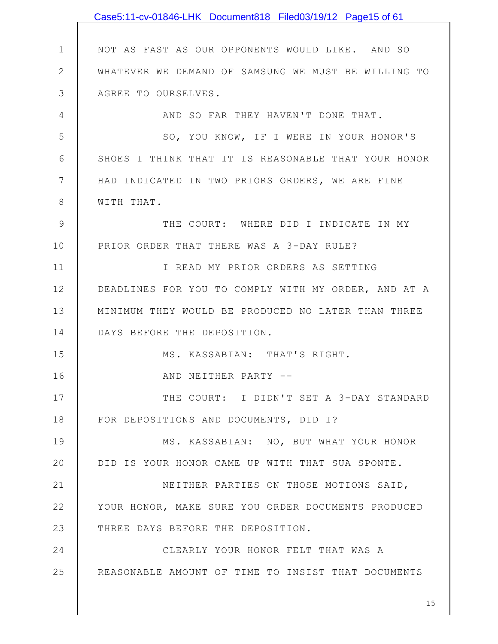|             | Case5:11-cv-01846-LHK Document818 Filed03/19/12 Page15 of 61 |
|-------------|--------------------------------------------------------------|
|             |                                                              |
| $\mathbf 1$ | NOT AS FAST AS OUR OPPONENTS WOULD LIKE. AND SO              |
| 2           | WHATEVER WE DEMAND OF SAMSUNG WE MUST BE WILLING TO          |
| 3           | AGREE TO OURSELVES.                                          |
| 4           | AND SO FAR THEY HAVEN'T DONE THAT.                           |
| 5           | SO, YOU KNOW, IF I WERE IN YOUR HONOR'S                      |
| 6           | SHOES I THINK THAT IT IS REASONABLE THAT YOUR HONOR          |
| 7           | HAD INDICATED IN TWO PRIORS ORDERS, WE ARE FINE              |
| 8           | WITH THAT.                                                   |
| 9           | THE COURT: WHERE DID I INDICATE IN MY                        |
| 10          | PRIOR ORDER THAT THERE WAS A 3-DAY RULE?                     |
| 11          | I READ MY PRIOR ORDERS AS SETTING                            |
| 12          | DEADLINES FOR YOU TO COMPLY WITH MY ORDER, AND AT A          |
| 13          | MINIMUM THEY WOULD BE PRODUCED NO LATER THAN THREE           |
| 14          | DAYS BEFORE THE DEPOSITION.                                  |
| 15          | MS. KASSABIAN: THAT'S RIGHT.                                 |
| 16          | AND NEITHER PARTY                                            |
| 17          | THE COURT: I DIDN'T SET A 3-DAY STANDARD                     |
| 18          | FOR DEPOSITIONS AND DOCUMENTS, DID I?                        |
| 19          | MS. KASSABIAN: NO, BUT WHAT YOUR HONOR                       |
| 20          | DID IS YOUR HONOR CAME UP WITH THAT SUA SPONTE.              |
| 21          | NEITHER PARTIES ON THOSE MOTIONS SAID,                       |
| 22          | YOUR HONOR, MAKE SURE YOU ORDER DOCUMENTS PRODUCED           |
| 23          | THREE DAYS BEFORE THE DEPOSITION.                            |
| 24          | CLEARLY YOUR HONOR FELT THAT WAS A                           |
| 25          | REASONABLE AMOUNT OF TIME TO INSIST THAT DOCUMENTS           |
|             |                                                              |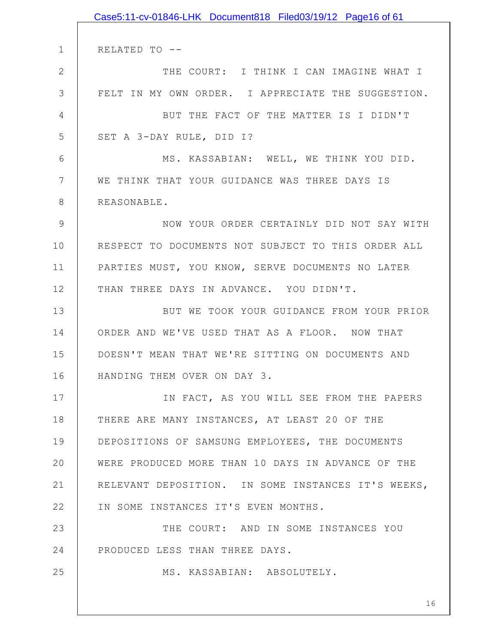1 2 3 4 5 6 7 8 9 10 11 12 13 14 15 16 17 18 19 20 21 22 23 24 25 RELATED TO -- THE COURT: I THINK I CAN IMAGINE WHAT I FELT IN MY OWN ORDER. I APPRECIATE THE SUGGESTION. BUT THE FACT OF THE MATTER IS I DIDN'T SET A 3-DAY RULE, DID I? MS. KASSABIAN: WELL, WE THINK YOU DID. WE THINK THAT YOUR GUIDANCE WAS THREE DAYS IS REASONABLE. NOW YOUR ORDER CERTAINLY DID NOT SAY WITH RESPECT TO DOCUMENTS NOT SUBJECT TO THIS ORDER ALL PARTIES MUST, YOU KNOW, SERVE DOCUMENTS NO LATER THAN THREE DAYS IN ADVANCE. YOU DIDN'T. BUT WE TOOK YOUR GUIDANCE FROM YOUR PRIOR ORDER AND WE'VE USED THAT AS A FLOOR. NOW THAT DOESN'T MEAN THAT WE'RE SITTING ON DOCUMENTS AND HANDING THEM OVER ON DAY 3. IN FACT, AS YOU WILL SEE FROM THE PAPERS THERE ARE MANY INSTANCES, AT LEAST 20 OF THE DEPOSITIONS OF SAMSUNG EMPLOYEES, THE DOCUMENTS WERE PRODUCED MORE THAN 10 DAYS IN ADVANCE OF THE RELEVANT DEPOSITION. IN SOME INSTANCES IT'S WEEKS, IN SOME INSTANCES IT'S EVEN MONTHS. THE COURT: AND IN SOME INSTANCES YOU PRODUCED LESS THAN THREE DAYS. MS. KASSABIAN: ABSOLUTELY. Case5:11-cv-01846-LHK Document818 Filed03/19/12 Page16 of 61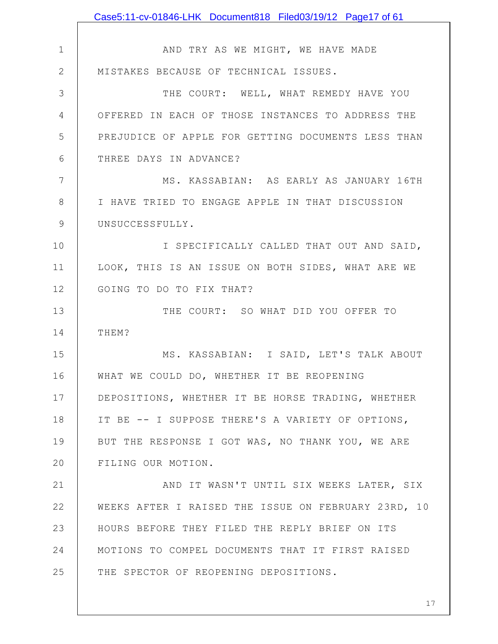1 2 3 4 5 6 7 8 9 10 11 12 13 14 15 16 17 18 19 20 21 22 23 24 25 AND TRY AS WE MIGHT, WE HAVE MADE MISTAKES BECAUSE OF TECHNICAL ISSUES. THE COURT: WELL, WHAT REMEDY HAVE YOU OFFERED IN EACH OF THOSE INSTANCES TO ADDRESS THE PREJUDICE OF APPLE FOR GETTING DOCUMENTS LESS THAN THREE DAYS IN ADVANCE? MS. KASSABIAN: AS EARLY AS JANUARY 16TH I HAVE TRIED TO ENGAGE APPLE IN THAT DISCUSSION UNSUCCESSFULLY. I SPECIFICALLY CALLED THAT OUT AND SAID, LOOK, THIS IS AN ISSUE ON BOTH SIDES, WHAT ARE WE GOING TO DO TO FIX THAT? THE COURT: SO WHAT DID YOU OFFER TO THEM? MS. KASSABIAN: I SAID, LET'S TALK ABOUT WHAT WE COULD DO, WHETHER IT BE REOPENING DEPOSITIONS, WHETHER IT BE HORSE TRADING, WHETHER IT BE -- I SUPPOSE THERE'S A VARIETY OF OPTIONS, BUT THE RESPONSE I GOT WAS, NO THANK YOU, WE ARE FILING OUR MOTION. AND IT WASN'T UNTIL SIX WEEKS LATER, SIX WEEKS AFTER I RAISED THE ISSUE ON FEBRUARY 23RD, 10 HOURS BEFORE THEY FILED THE REPLY BRIEF ON ITS MOTIONS TO COMPEL DOCUMENTS THAT IT FIRST RAISED THE SPECTOR OF REOPENING DEPOSITIONS. Case5:11-cv-01846-LHK Document818 Filed03/19/12 Page17 of 61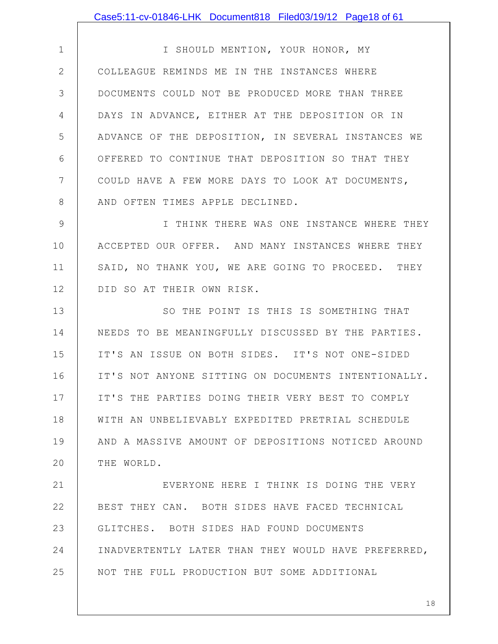Case5:11-cv-01846-LHK Document818 Filed03/19/12 Page18 of 61

1 2 3 4 5 6 7 8 I SHOULD MENTION, YOUR HONOR, MY COLLEAGUE REMINDS ME IN THE INSTANCES WHERE DOCUMENTS COULD NOT BE PRODUCED MORE THAN THREE DAYS IN ADVANCE, EITHER AT THE DEPOSITION OR IN ADVANCE OF THE DEPOSITION, IN SEVERAL INSTANCES WE OFFERED TO CONTINUE THAT DEPOSITION SO THAT THEY COULD HAVE A FEW MORE DAYS TO LOOK AT DOCUMENTS, AND OFTEN TIMES APPLE DECLINED.

9 10 11 12 I THINK THERE WAS ONE INSTANCE WHERE THEY ACCEPTED OUR OFFER. AND MANY INSTANCES WHERE THEY SAID, NO THANK YOU, WE ARE GOING TO PROCEED. THEY DID SO AT THEIR OWN RISK.

13 14 15 16 17 18 19 20 SO THE POINT IS THIS IS SOMETHING THAT NEEDS TO BE MEANINGFULLY DISCUSSED BY THE PARTIES. IT'S AN ISSUE ON BOTH SIDES. IT'S NOT ONE-SIDED IT'S NOT ANYONE SITTING ON DOCUMENTS INTENTIONALLY. IT'S THE PARTIES DOING THEIR VERY BEST TO COMPLY WITH AN UNBELIEVABLY EXPEDITED PRETRIAL SCHEDULE AND A MASSIVE AMOUNT OF DEPOSITIONS NOTICED AROUND THE WORLD.

21 22 23 24 25 EVERYONE HERE I THINK IS DOING THE VERY BEST THEY CAN. BOTH SIDES HAVE FACED TECHNICAL GLITCHES. BOTH SIDES HAD FOUND DOCUMENTS INADVERTENTLY LATER THAN THEY WOULD HAVE PREFERRED, NOT THE FULL PRODUCTION BUT SOME ADDITIONAL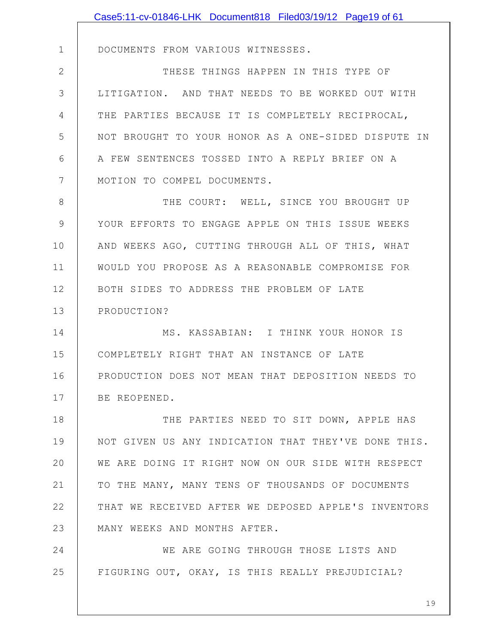|               | Case5:11-cv-01846-LHK Document818 Filed03/19/12 Page19 of 61 |
|---------------|--------------------------------------------------------------|
|               |                                                              |
| $\mathbf{1}$  | DOCUMENTS FROM VARIOUS WITNESSES.                            |
| $\mathbf{2}$  | THESE THINGS HAPPEN IN THIS TYPE OF                          |
| 3             | LITIGATION. AND THAT NEEDS TO BE WORKED OUT WITH             |
| 4             | THE PARTIES BECAUSE IT IS COMPLETELY RECIPROCAL,             |
| 5             | NOT BROUGHT TO YOUR HONOR AS A ONE-SIDED DISPUTE IN          |
| 6             | A FEW SENTENCES TOSSED INTO A REPLY BRIEF ON A               |
| 7             | MOTION TO COMPEL DOCUMENTS.                                  |
| 8             | THE COURT: WELL, SINCE YOU BROUGHT UP                        |
| $\mathcal{G}$ | YOUR EFFORTS TO ENGAGE APPLE ON THIS ISSUE WEEKS             |
| 10            | AND WEEKS AGO, CUTTING THROUGH ALL OF THIS, WHAT             |
| 11            | WOULD YOU PROPOSE AS A REASONABLE COMPROMISE FOR             |
| 12            | BOTH SIDES TO ADDRESS THE PROBLEM OF LATE                    |
| 13            | PRODUCTION?                                                  |
| 14            | MS. KASSABIAN: I THINK YOUR HONOR IS                         |
| 15            | COMPLETELY RIGHT THAT AN INSTANCE OF LATE                    |
| 16            | PRODUCTION DOES NOT MEAN THAT DEPOSITION NEEDS TO            |
| 17            | BE REOPENED.                                                 |
| 18            | THE PARTIES NEED TO SIT DOWN, APPLE HAS                      |
| 19            | NOT GIVEN US ANY INDICATION THAT THEY'VE DONE THIS.          |
| 20            | WE ARE DOING IT RIGHT NOW ON OUR SIDE WITH RESPECT           |
| 21            | TO THE MANY, MANY TENS OF THOUSANDS OF DOCUMENTS             |
| 22            | THAT WE RECEIVED AFTER WE DEPOSED APPLE'S INVENTORS          |
| 23            | MANY WEEKS AND MONTHS AFTER.                                 |
| 24            | WE ARE GOING THROUGH THOSE LISTS AND                         |
| 25            | FIGURING OUT, OKAY, IS THIS REALLY PREJUDICIAL?              |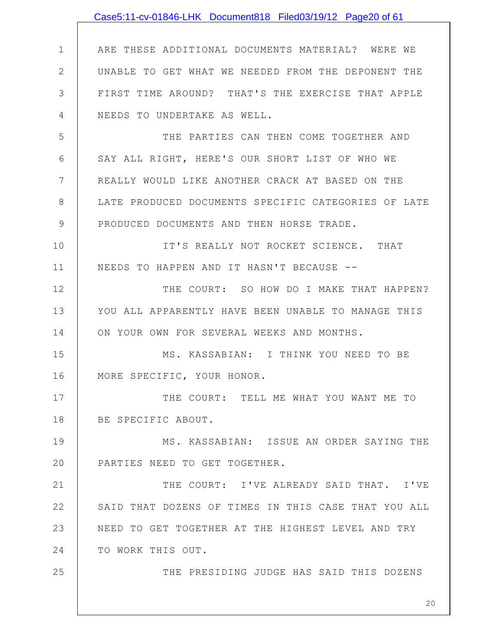|               | Case5:11-cv-01846-LHK Document818 Filed03/19/12 Page20 of 61 |
|---------------|--------------------------------------------------------------|
|               |                                                              |
| $\mathbf 1$   | ARE THESE ADDITIONAL DOCUMENTS MATERIAL? WERE WE             |
| $\mathbf{2}$  | UNABLE TO GET WHAT WE NEEDED FROM THE DEPONENT THE           |
| 3             | FIRST TIME AROUND? THAT'S THE EXERCISE THAT APPLE            |
| 4             | NEEDS TO UNDERTAKE AS WELL.                                  |
| 5             | THE PARTIES CAN THEN COME TOGETHER AND                       |
| 6             | SAY ALL RIGHT, HERE'S OUR SHORT LIST OF WHO WE               |
| 7             | REALLY WOULD LIKE ANOTHER CRACK AT BASED ON THE              |
| 8             | LATE PRODUCED DOCUMENTS SPECIFIC CATEGORIES OF LATE          |
| $\mathcal{G}$ | PRODUCED DOCUMENTS AND THEN HORSE TRADE.                     |
| 10            | IT'S REALLY NOT ROCKET SCIENCE. THAT                         |
| 11            | NEEDS TO HAPPEN AND IT HASN'T BECAUSE --                     |
| 12            | THE COURT: SO HOW DO I MAKE THAT HAPPEN?                     |
| 13            | YOU ALL APPARENTLY HAVE BEEN UNABLE TO MANAGE THIS           |
| 14            | ON YOUR OWN FOR SEVERAL WEEKS AND MONTHS.                    |
| 15            | MS. KASSABIAN: I THINK YOU NEED TO BE                        |
| 16            | MORE SPECIFIC, YOUR HONOR.                                   |
| 17            | THE COURT: TELL ME WHAT YOU WANT ME TO                       |
| 18            | BE SPECIFIC ABOUT.                                           |
| 19            | MS. KASSABIAN: ISSUE AN ORDER SAYING THE                     |
| 20            | PARTIES NEED TO GET TOGETHER.                                |
| 21            | THE COURT: I'VE ALREADY SAID THAT. I'VE                      |
| 22            | SAID THAT DOZENS OF TIMES IN THIS CASE THAT YOU ALL          |
| 23            | NEED TO GET TOGETHER AT THE HIGHEST LEVEL AND TRY            |
| 24            | TO WORK THIS OUT.                                            |
| 25            | THE PRESIDING JUDGE HAS SAID THIS DOZENS                     |
|               |                                                              |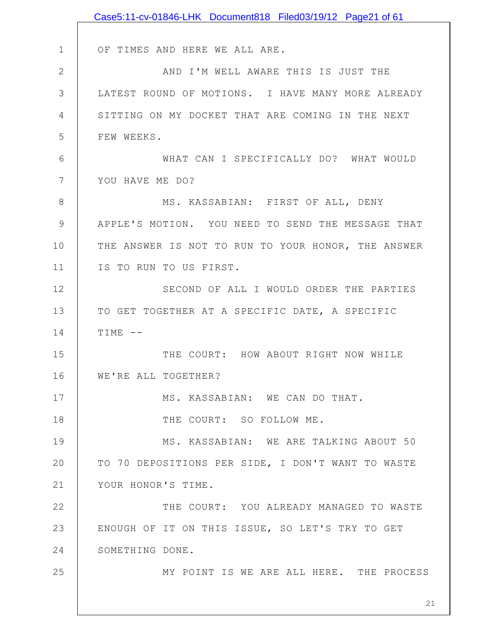|               | Case5:11-cv-01846-LHK Document818 Filed03/19/12 Page21 of 61 |
|---------------|--------------------------------------------------------------|
|               |                                                              |
| $\mathbf 1$   | OF TIMES AND HERE WE ALL ARE.                                |
| $\mathbf{2}$  | AND I'M WELL AWARE THIS IS JUST THE                          |
| 3             | LATEST ROUND OF MOTIONS. I HAVE MANY MORE ALREADY            |
| 4             | SITTING ON MY DOCKET THAT ARE COMING IN THE NEXT             |
| 5             | FEW WEEKS.                                                   |
| 6             | WHAT CAN I SPECIFICALLY DO? WHAT WOULD                       |
| 7             | YOU HAVE ME DO?                                              |
| 8             | MS. KASSABIAN: FIRST OF ALL, DENY                            |
| $\mathcal{G}$ | APPLE'S MOTION. YOU NEED TO SEND THE MESSAGE THAT            |
| 10            | THE ANSWER IS NOT TO RUN TO YOUR HONOR, THE ANSWER           |
| 11            | IS TO RUN TO US FIRST.                                       |
| 12            | SECOND OF ALL I WOULD ORDER THE PARTIES                      |
| 13            | TO GET TOGETHER AT A SPECIFIC DATE, A SPECIFIC               |
| 14            | $TIME$ --                                                    |
| 15            | THE COURT: HOW ABOUT RIGHT NOW WHILE                         |
| 16            | WE'RE ALL TOGETHER?                                          |
| 17            | MS. KASSABIAN: WE CAN DO THAT.                               |
| 18            | THE COURT: SO FOLLOW ME.                                     |
| 19            | MS. KASSABIAN: WE ARE TALKING ABOUT 50                       |
| 20            | TO 70 DEPOSITIONS PER SIDE, I DON'T WANT TO WASTE            |
| 21            | YOUR HONOR'S TIME.                                           |
| 22            | THE COURT: YOU ALREADY MANAGED TO WASTE                      |
| 23            | ENOUGH OF IT ON THIS ISSUE, SO LET'S TRY TO GET              |
| 24            | SOMETHING DONE.                                              |
| 25            | MY POINT IS WE ARE ALL HERE. THE PROCESS                     |
|               | 21                                                           |
|               |                                                              |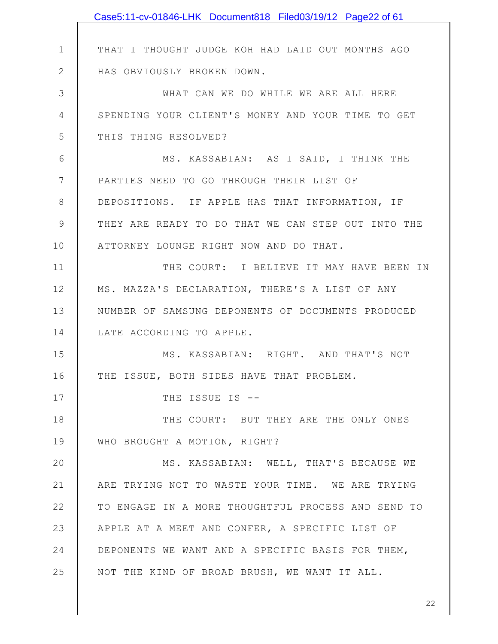|              | Case5:11-cv-01846-LHK Document818 Filed03/19/12 Page22 of 61 |
|--------------|--------------------------------------------------------------|
|              |                                                              |
| $\mathbf 1$  | THAT I THOUGHT JUDGE KOH HAD LAID OUT MONTHS AGO             |
| $\mathbf{2}$ | HAS OBVIOUSLY BROKEN DOWN.                                   |
| 3            | WHAT CAN WE DO WHILE WE ARE ALL HERE                         |
| 4            | SPENDING YOUR CLIENT'S MONEY AND YOUR TIME TO GET            |
| 5            | THIS THING RESOLVED?                                         |
| 6            | MS. KASSABIAN: AS I SAID, I THINK THE                        |
| 7            | PARTIES NEED TO GO THROUGH THEIR LIST OF                     |
| 8            | DEPOSITIONS. IF APPLE HAS THAT INFORMATION, IF               |
| 9            | THEY ARE READY TO DO THAT WE CAN STEP OUT INTO THE           |
| 10           | ATTORNEY LOUNGE RIGHT NOW AND DO THAT.                       |
| 11           | THE COURT: I BELIEVE IT MAY HAVE BEEN IN                     |
| 12           | MS. MAZZA'S DECLARATION, THERE'S A LIST OF ANY               |
| 13           | NUMBER OF SAMSUNG DEPONENTS OF DOCUMENTS PRODUCED            |
| 14           | LATE ACCORDING TO APPLE.                                     |
| 15           | MS. KASSABIAN: RIGHT. AND THAT'S NOT                         |
| 16           | THE ISSUE, BOTH SIDES HAVE THAT PROBLEM.                     |
| 17           | THE ISSUE IS --                                              |
| 18           | THE COURT: BUT THEY ARE THE ONLY ONES                        |
| 19           | WHO BROUGHT A MOTION, RIGHT?                                 |
| 20           | MS. KASSABIAN: WELL, THAT'S BECAUSE WE                       |
| 21           | ARE TRYING NOT TO WASTE YOUR TIME. WE ARE TRYING             |
| 22           | TO ENGAGE IN A MORE THOUGHTFUL PROCESS AND SEND TO           |
| 23           | APPLE AT A MEET AND CONFER, A SPECIFIC LIST OF               |
| 24           | DEPONENTS WE WANT AND A SPECIFIC BASIS FOR THEM,             |
| 25           | NOT THE KIND OF BROAD BRUSH, WE WANT IT ALL.                 |
|              |                                                              |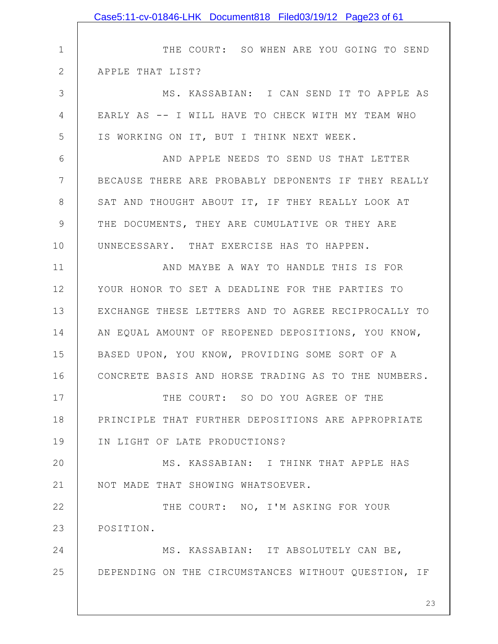|                | Case5:11-cv-01846-LHK Document818 Filed03/19/12 Page23 of 61 |
|----------------|--------------------------------------------------------------|
|                |                                                              |
| $\mathbf 1$    | THE COURT: SO WHEN ARE YOU GOING TO SEND                     |
| $\mathbf{2}$   | APPLE THAT LIST?                                             |
| 3              | MS. KASSABIAN: I CAN SEND IT TO APPLE AS                     |
| $\overline{4}$ | EARLY AS -- I WILL HAVE TO CHECK WITH MY TEAM WHO            |
| 5              | IS WORKING ON IT, BUT I THINK NEXT WEEK.                     |
| 6              | AND APPLE NEEDS TO SEND US THAT LETTER                       |
| 7              | BECAUSE THERE ARE PROBABLY DEPONENTS IF THEY REALLY          |
| 8              | SAT AND THOUGHT ABOUT IT, IF THEY REALLY LOOK AT             |
| 9              | THE DOCUMENTS, THEY ARE CUMULATIVE OR THEY ARE               |
| 10             | UNNECESSARY. THAT EXERCISE HAS TO HAPPEN.                    |
| 11             | AND MAYBE A WAY TO HANDLE THIS IS FOR                        |
| 12             | YOUR HONOR TO SET A DEADLINE FOR THE PARTIES TO              |
| 13             | EXCHANGE THESE LETTERS AND TO AGREE RECIPROCALLY TO          |
| 14             | AN EQUAL AMOUNT OF REOPENED DEPOSITIONS, YOU KNOW,           |
| 15             | BASED UPON, YOU KNOW, PROVIDING SOME SORT OF A               |
| 16             | CONCRETE BASIS AND HORSE TRADING AS TO THE NUMBERS.          |
| 17             | THE COURT: SO DO YOU AGREE OF THE                            |
| 18             | PRINCIPLE THAT FURTHER DEPOSITIONS ARE APPROPRIATE           |
| 19             | IN LIGHT OF LATE PRODUCTIONS?                                |
| 20             | MS. KASSABIAN: I THINK THAT APPLE HAS                        |
| 21             | NOT MADE THAT SHOWING WHATSOEVER.                            |
| 22             | THE COURT: NO, I'M ASKING FOR YOUR                           |
| 23             | POSITION.                                                    |
| 24             | MS. KASSABIAN: IT ABSOLUTELY CAN BE,                         |
| 25             | DEPENDING ON THE CIRCUMSTANCES WITHOUT QUESTION, IF          |
|                | 23                                                           |
|                |                                                              |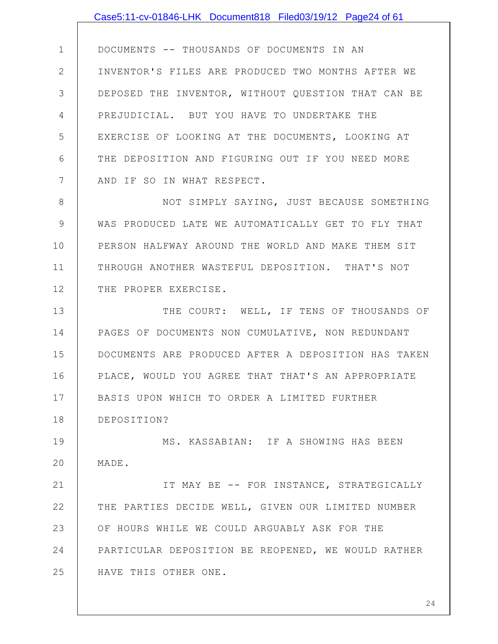1 2 3 4 5 6 7 DOCUMENTS -- THOUSANDS OF DOCUMENTS IN AN INVENTOR'S FILES ARE PRODUCED TWO MONTHS AFTER WE DEPOSED THE INVENTOR, WITHOUT QUESTION THAT CAN BE PREJUDICIAL. BUT YOU HAVE TO UNDERTAKE THE EXERCISE OF LOOKING AT THE DOCUMENTS, LOOKING AT THE DEPOSITION AND FIGURING OUT IF YOU NEED MORE AND IF SO IN WHAT RESPECT.

8 9 10 11 12 NOT SIMPLY SAYING, JUST BECAUSE SOMETHING WAS PRODUCED LATE WE AUTOMATICALLY GET TO FLY THAT PERSON HALFWAY AROUND THE WORLD AND MAKE THEM SIT THROUGH ANOTHER WASTEFUL DEPOSITION. THAT'S NOT THE PROPER EXERCISE.

13 14 15 16 17 18 THE COURT: WELL, IF TENS OF THOUSANDS OF PAGES OF DOCUMENTS NON CUMULATIVE, NON REDUNDANT DOCUMENTS ARE PRODUCED AFTER A DEPOSITION HAS TAKEN PLACE, WOULD YOU AGREE THAT THAT'S AN APPROPRIATE BASIS UPON WHICH TO ORDER A LIMITED FURTHER DEPOSITION?

19 20 MS. KASSABIAN: IF A SHOWING HAS BEEN MADE.

21 22 23 24 25 IT MAY BE -- FOR INSTANCE, STRATEGICALLY THE PARTIES DECIDE WELL, GIVEN OUR LIMITED NUMBER OF HOURS WHILE WE COULD ARGUABLY ASK FOR THE PARTICULAR DEPOSITION BE REOPENED, WE WOULD RATHER HAVE THIS OTHER ONE.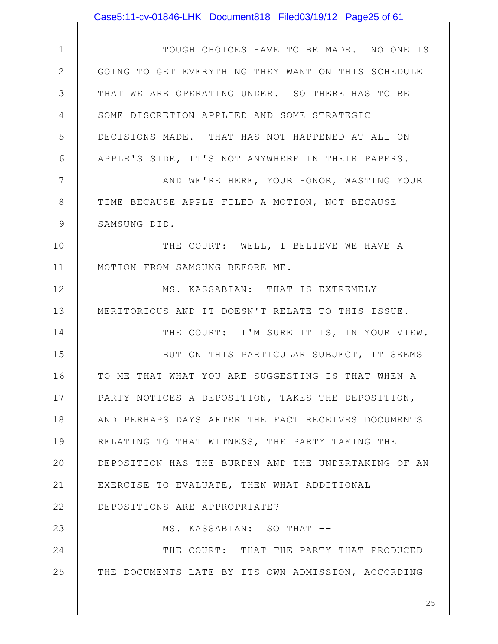|              | Case5:11-cv-01846-LHK Document818 Filed03/19/12 Page25 of 61 |
|--------------|--------------------------------------------------------------|
|              |                                                              |
| $\mathbf 1$  | TOUGH CHOICES HAVE TO BE MADE. NO ONE IS                     |
| $\mathbf{2}$ | GOING TO GET EVERYTHING THEY WANT ON THIS SCHEDULE           |
| 3            | THAT WE ARE OPERATING UNDER. SO THERE HAS TO BE              |
| 4            | SOME DISCRETION APPLIED AND SOME STRATEGIC                   |
| 5            | DECISIONS MADE. THAT HAS NOT HAPPENED AT ALL ON              |
| 6            | APPLE'S SIDE, IT'S NOT ANYWHERE IN THEIR PAPERS.             |
| 7            | AND WE'RE HERE, YOUR HONOR, WASTING YOUR                     |
| $8\,$        | TIME BECAUSE APPLE FILED A MOTION, NOT BECAUSE               |
| 9            | SAMSUNG DID.                                                 |
| 10           | THE COURT: WELL, I BELIEVE WE HAVE A                         |
| 11           | MOTION FROM SAMSUNG BEFORE ME.                               |
| 12           | MS. KASSABIAN: THAT IS EXTREMELY                             |
| 13           | MERITORIOUS AND IT DOESN'T RELATE TO THIS ISSUE.             |
| 14           | THE COURT: I'M SURE IT IS, IN YOUR VIEW.                     |
| 15           | BUT ON THIS PARTICULAR SUBJECT, IT SEEMS                     |
| 16           | TO ME THAT WHAT YOU ARE SUGGESTING IS THAT WHEN A            |
| 17           | PARTY NOTICES A DEPOSITION, TAKES THE DEPOSITION,            |
| 18           | AND PERHAPS DAYS AFTER THE FACT RECEIVES DOCUMENTS           |
| 19           | RELATING TO THAT WITNESS, THE PARTY TAKING THE               |
| 20           | DEPOSITION HAS THE BURDEN AND THE UNDERTAKING OF AN          |
| 21           | EXERCISE TO EVALUATE, THEN WHAT ADDITIONAL                   |
| 22           | DEPOSITIONS ARE APPROPRIATE?                                 |
| 23           | MS. KASSABIAN: SO THAT --                                    |
| 24           | THE COURT: THAT THE PARTY THAT PRODUCED                      |
| 25           | THE DOCUMENTS LATE BY ITS OWN ADMISSION, ACCORDING           |
|              |                                                              |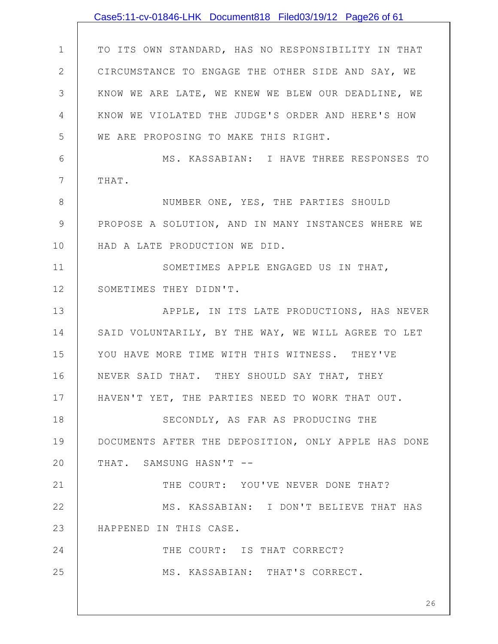|                | Case5:11-cv-01846-LHK Document818 Filed03/19/12 Page26 of 61 |
|----------------|--------------------------------------------------------------|
|                |                                                              |
| $\mathbf{1}$   | TO ITS OWN STANDARD, HAS NO RESPONSIBILITY IN THAT           |
| $\overline{2}$ | CIRCUMSTANCE TO ENGAGE THE OTHER SIDE AND SAY, WE            |
| 3              | KNOW WE ARE LATE, WE KNEW WE BLEW OUR DEADLINE, WE           |
| 4              | KNOW WE VIOLATED THE JUDGE'S ORDER AND HERE'S HOW            |
| 5              | WE ARE PROPOSING TO MAKE THIS RIGHT.                         |
| 6              | MS. KASSABIAN: I HAVE THREE RESPONSES TO                     |
| $\overline{7}$ | THAT.                                                        |
| 8              | NUMBER ONE, YES, THE PARTIES SHOULD                          |
| 9              | PROPOSE A SOLUTION, AND IN MANY INSTANCES WHERE WE           |
| 10             | HAD A LATE PRODUCTION WE DID.                                |
| 11             | SOMETIMES APPLE ENGAGED US IN THAT,                          |
| 12             | SOMETIMES THEY DIDN'T.                                       |
| 13             | APPLE, IN ITS LATE PRODUCTIONS, HAS NEVER                    |
| 14             | SAID VOLUNTARILY, BY THE WAY, WE WILL AGREE TO LET           |
| 15             | YOU HAVE MORE TIME WITH THIS WITNESS. THEY'VE                |
| 16             | NEVER SAID THAT. THEY SHOULD SAY THAT, THEY                  |
| 17             | HAVEN'T YET, THE PARTIES NEED TO WORK THAT OUT.              |
| 18             | SECONDLY, AS FAR AS PRODUCING THE                            |
| 19             | DOCUMENTS AFTER THE DEPOSITION, ONLY APPLE HAS DONE          |
| 20             | THAT. SAMSUNG HASN'T --                                      |
| 21             | THE COURT: YOU'VE NEVER DONE THAT?                           |
| 22             | MS. KASSABIAN: I DON'T BELIEVE THAT HAS                      |
| 23             | HAPPENED IN THIS CASE.                                       |
| 24             | THE COURT: IS THAT CORRECT?                                  |
| 25             | MS. KASSABIAN: THAT'S CORRECT.                               |
|                | 26                                                           |
|                |                                                              |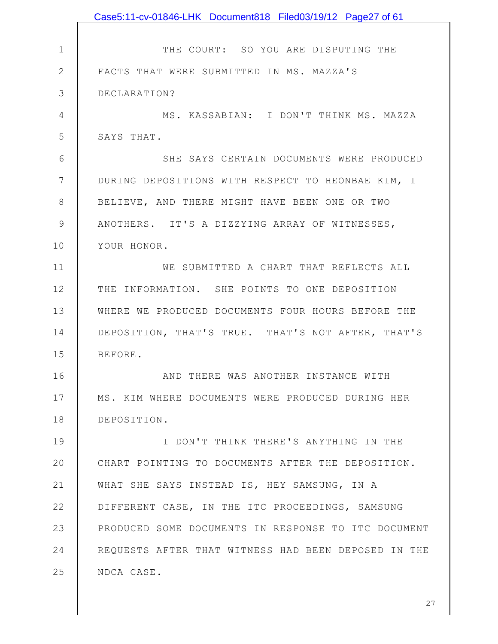|              | Case5:11-cv-01846-LHK Document818 Filed03/19/12 Page27 of 61 |
|--------------|--------------------------------------------------------------|
|              |                                                              |
| $\mathbf 1$  | THE COURT: SO YOU ARE DISPUTING THE                          |
| $\mathbf{2}$ | FACTS THAT WERE SUBMITTED IN MS. MAZZA'S                     |
| 3            | DECLARATION?                                                 |
| 4            | MS. KASSABIAN: I DON'T THINK MS. MAZZA                       |
| 5            | SAYS THAT.                                                   |
| 6            | SHE SAYS CERTAIN DOCUMENTS WERE PRODUCED                     |
| 7            | DURING DEPOSITIONS WITH RESPECT TO HEONBAE KIM, I            |
| 8            | BELIEVE, AND THERE MIGHT HAVE BEEN ONE OR TWO                |
| 9            | ANOTHERS. IT'S A DIZZYING ARRAY OF WITNESSES,                |
| 10           | YOUR HONOR.                                                  |
| 11           | WE SUBMITTED A CHART THAT REFLECTS ALL                       |
| 12           | THE INFORMATION. SHE POINTS TO ONE DEPOSITION                |
| 13           | WHERE WE PRODUCED DOCUMENTS FOUR HOURS BEFORE THE            |
| 14           | DEPOSITION, THAT'S TRUE. THAT'S NOT AFTER, THAT'S            |
| 15           | BEFORE.                                                      |
| 16           | AND THERE WAS ANOTHER INSTANCE WITH                          |
| 17           | MS. KIM WHERE DOCUMENTS WERE PRODUCED DURING HER             |
| 18           | DEPOSITION.                                                  |
| 19           | I DON'T THINK THERE'S ANYTHING IN THE                        |
| 20           | CHART POINTING TO DOCUMENTS AFTER THE DEPOSITION.            |
| 21           | WHAT SHE SAYS INSTEAD IS, HEY SAMSUNG, IN A                  |
| 22           | DIFFERENT CASE, IN THE ITC PROCEEDINGS, SAMSUNG              |
| 23           | PRODUCED SOME DOCUMENTS IN RESPONSE TO ITC DOCUMENT          |
| 24           | REQUESTS AFTER THAT WITNESS HAD BEEN DEPOSED IN THE          |
| 25           | NDCA CASE.                                                   |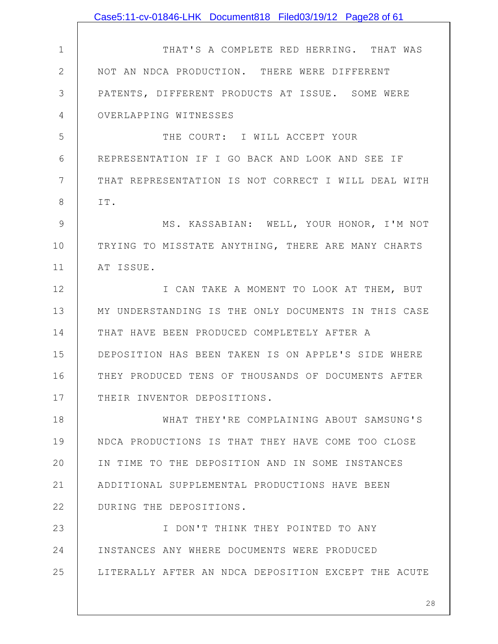|              | Case5:11-cv-01846-LHK Document818 Filed03/19/12 Page28 of 61 |
|--------------|--------------------------------------------------------------|
|              |                                                              |
| $\mathbf 1$  | THAT'S A COMPLETE RED HERRING. THAT WAS                      |
| $\mathbf{2}$ | NOT AN NDCA PRODUCTION. THERE WERE DIFFERENT                 |
| 3            | PATENTS, DIFFERENT PRODUCTS AT ISSUE. SOME WERE              |
| 4            | OVERLAPPING WITNESSES                                        |
| 5            | THE COURT: I WILL ACCEPT YOUR                                |
| 6            | REPRESENTATION IF I GO BACK AND LOOK AND SEE IF              |
| 7            | THAT REPRESENTATION IS NOT CORRECT I WILL DEAL WITH          |
| 8            | IT.                                                          |
| 9            | MS. KASSABIAN: WELL, YOUR HONOR, I'M NOT                     |
| 10           | TRYING TO MISSTATE ANYTHING, THERE ARE MANY CHARTS           |
| 11           | AT ISSUE.                                                    |
| 12           | I CAN TAKE A MOMENT TO LOOK AT THEM, BUT                     |
| 13           | MY UNDERSTANDING IS THE ONLY DOCUMENTS IN THIS CASE          |
| 14           | THAT HAVE BEEN PRODUCED COMPLETELY AFTER A                   |
| 15           | DEPOSITION HAS BEEN TAKEN IS ON APPLE'S SIDE WHERE           |
| 16           | THEY PRODUCED TENS OF THOUSANDS OF DOCUMENTS AFTER           |
| 17           | THEIR INVENTOR DEPOSITIONS.                                  |
| 18           | WHAT THEY'RE COMPLAINING ABOUT SAMSUNG'S                     |
| 19           | NDCA PRODUCTIONS IS THAT THEY HAVE COME TOO CLOSE            |
| 20           | IN TIME TO THE DEPOSITION AND IN SOME INSTANCES              |
| 21           | ADDITIONAL SUPPLEMENTAL PRODUCTIONS HAVE BEEN                |
| 22           | DURING THE DEPOSITIONS.                                      |
| 23           | I DON'T THINK THEY POINTED TO ANY                            |
| 24           | INSTANCES ANY WHERE DOCUMENTS WERE PRODUCED                  |
| 25           | LITERALLY AFTER AN NDCA DEPOSITION EXCEPT THE ACUTE          |
|              |                                                              |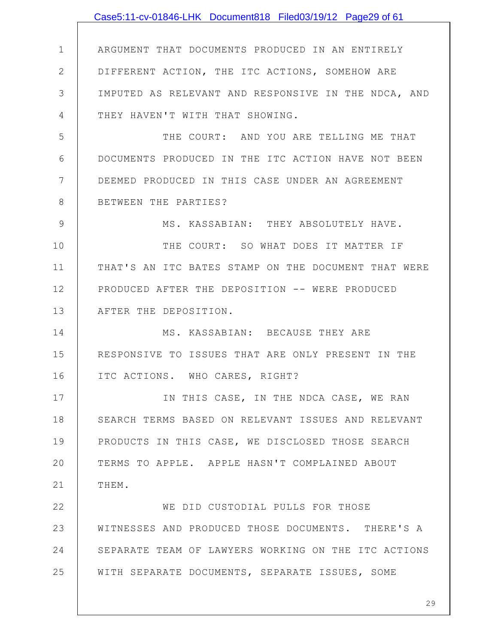|             | Case5:11-cv-01846-LHK Document818 Filed03/19/12 Page29 of 61 |
|-------------|--------------------------------------------------------------|
|             |                                                              |
| $\mathbf 1$ | ARGUMENT THAT DOCUMENTS PRODUCED IN AN ENTIRELY              |
| 2           | DIFFERENT ACTION, THE ITC ACTIONS, SOMEHOW ARE               |
| 3           | IMPUTED AS RELEVANT AND RESPONSIVE IN THE NDCA, AND          |
| 4           | THEY HAVEN'T WITH THAT SHOWING.                              |
| 5           | THE COURT: AND YOU ARE TELLING ME THAT                       |
| 6           | DOCUMENTS PRODUCED IN THE ITC ACTION HAVE NOT BEEN           |
| 7           | DEEMED PRODUCED IN THIS CASE UNDER AN AGREEMENT              |
| 8           | BETWEEN THE PARTIES?                                         |
| 9           | MS. KASSABIAN: THEY ABSOLUTELY HAVE.                         |
| 10          | THE COURT: SO WHAT DOES IT MATTER IF                         |
| 11          | THAT'S AN ITC BATES STAMP ON THE DOCUMENT THAT WERE          |
| 12          | PRODUCED AFTER THE DEPOSITION -- WERE PRODUCED               |
| 13          | AFTER THE DEPOSITION.                                        |
| 14          | MS. KASSABIAN: BECAUSE THEY ARE                              |
| 15          | RESPONSIVE TO ISSUES THAT ARE ONLY PRESENT IN THE            |
| 16          | ITC ACTIONS. WHO CARES, RIGHT?                               |
| 17          | IN THIS CASE, IN THE NDCA CASE, WE RAN                       |
| 18          | SEARCH TERMS BASED ON RELEVANT ISSUES AND RELEVANT           |
| 19          | PRODUCTS IN THIS CASE, WE DISCLOSED THOSE SEARCH             |
| 20          | TERMS TO APPLE. APPLE HASN'T COMPLAINED ABOUT                |
| 21          | THEM.                                                        |
| 22          | WE DID CUSTODIAL PULLS FOR THOSE                             |
| 23          | WITNESSES AND PRODUCED THOSE DOCUMENTS. THERE'S A            |
| 24          | SEPARATE TEAM OF LAWYERS WORKING ON THE ITC ACTIONS          |
| 25          | WITH SEPARATE DOCUMENTS, SEPARATE ISSUES, SOME               |
|             |                                                              |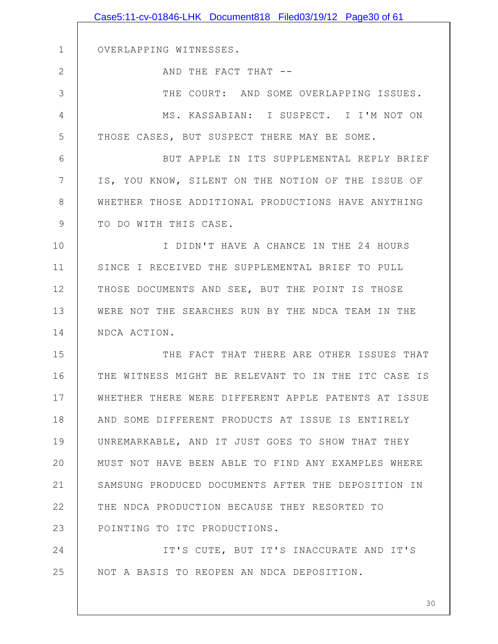|              | Case5:11-cv-01846-LHK Document818 Filed03/19/12 Page30 of 61 |
|--------------|--------------------------------------------------------------|
|              |                                                              |
| $\mathbf 1$  | OVERLAPPING WITNESSES.                                       |
| $\mathbf{2}$ | AND THE FACT THAT --                                         |
| 3            | THE COURT: AND SOME OVERLAPPING ISSUES.                      |
| 4            | MS. KASSABIAN: I SUSPECT. I I'M NOT ON                       |
| 5            | THOSE CASES, BUT SUSPECT THERE MAY BE SOME.                  |
| 6            | BUT APPLE IN ITS SUPPLEMENTAL REPLY BRIEF                    |
| 7            | IS, YOU KNOW, SILENT ON THE NOTION OF THE ISSUE OF           |
| 8            | WHETHER THOSE ADDITIONAL PRODUCTIONS HAVE ANYTHING           |
| 9            | TO DO WITH THIS CASE.                                        |
| 10           | I DIDN'T HAVE A CHANCE IN THE 24 HOURS                       |
| 11           | SINCE I RECEIVED THE SUPPLEMENTAL BRIEF TO PULL              |
| 12           | THOSE DOCUMENTS AND SEE, BUT THE POINT IS THOSE              |
| 13           | WERE NOT THE SEARCHES RUN BY THE NDCA TEAM IN THE            |
| 14           | NDCA ACTION.                                                 |
| 15           | THE FACT THAT THERE ARE OTHER ISSUES THAT                    |
| 16           | THE WITNESS MIGHT BE RELEVANT TO IN THE ITC CASE IS          |
| 17           | WHETHER THERE WERE DIFFERENT APPLE PATENTS AT ISSUE          |
| 18           | AND SOME DIFFERENT PRODUCTS AT ISSUE IS ENTIRELY             |
| 19           | UNREMARKABLE, AND IT JUST GOES TO SHOW THAT THEY             |
| 20           | MUST NOT HAVE BEEN ABLE TO FIND ANY EXAMPLES WHERE           |
| 21           | SAMSUNG PRODUCED DOCUMENTS AFTER THE DEPOSITION IN           |
| 22           | THE NDCA PRODUCTION BECAUSE THEY RESORTED TO                 |
| 23           | POINTING TO ITC PRODUCTIONS.                                 |
| 24           | IT'S CUTE, BUT IT'S INACCURATE AND IT'S                      |
| 25           | NOT A BASIS TO REOPEN AN NDCA DEPOSITION.                    |
|              |                                                              |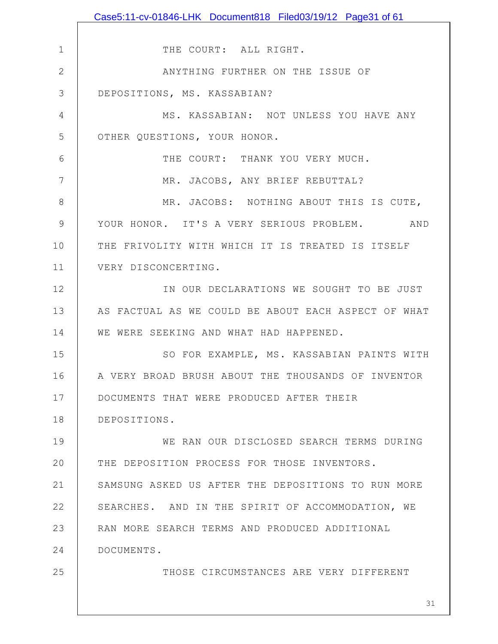|               | Case5:11-cv-01846-LHK        Document818        Filed03/19/12        Page31 of 61 |
|---------------|-----------------------------------------------------------------------------------|
|               |                                                                                   |
| 1             | THE COURT: ALL RIGHT.                                                             |
| $\mathbf{2}$  | ANYTHING FURTHER ON THE ISSUE OF                                                  |
| 3             | DEPOSITIONS, MS. KASSABIAN?                                                       |
| 4             | MS. KASSABIAN: NOT UNLESS YOU HAVE ANY                                            |
| 5             | OTHER QUESTIONS, YOUR HONOR.                                                      |
| 6             | THE COURT: THANK YOU VERY MUCH.                                                   |
| 7             | MR. JACOBS, ANY BRIEF REBUTTAL?                                                   |
| 8             | MR. JACOBS: NOTHING ABOUT THIS IS CUTE,                                           |
| $\mathcal{G}$ | YOUR HONOR. IT'S A VERY SERIOUS PROBLEM. AND                                      |
| 10            | THE FRIVOLITY WITH WHICH IT IS TREATED IS ITSELF                                  |
| 11            | VERY DISCONCERTING.                                                               |
| 12            | IN OUR DECLARATIONS WE SOUGHT TO BE JUST                                          |
| 13            | AS FACTUAL AS WE COULD BE ABOUT EACH ASPECT OF WHAT                               |
| 14            | WE WERE SEEKING AND WHAT HAD HAPPENED.                                            |
| 15            | SO FOR EXAMPLE, MS. KASSABIAN PAINTS WITH                                         |
| 16            | A VERY BROAD BRUSH ABOUT THE THOUSANDS OF INVENTOR                                |
| 17            | DOCUMENTS THAT WERE PRODUCED AFTER THEIR                                          |
| 18            | DEPOSITIONS.                                                                      |
| 19            | WE RAN OUR DISCLOSED SEARCH TERMS DURING                                          |
| 20            | THE DEPOSITION PROCESS FOR THOSE INVENTORS.                                       |
| 21            | SAMSUNG ASKED US AFTER THE DEPOSITIONS TO RUN MORE                                |
| 22            | SEARCHES. AND IN THE SPIRIT OF ACCOMMODATION, WE                                  |
| 23            | RAN MORE SEARCH TERMS AND PRODUCED ADDITIONAL                                     |
| 24            | DOCUMENTS.                                                                        |
| 25            | THOSE CIRCUMSTANCES ARE VERY DIFFERENT                                            |
|               |                                                                                   |
|               | 31                                                                                |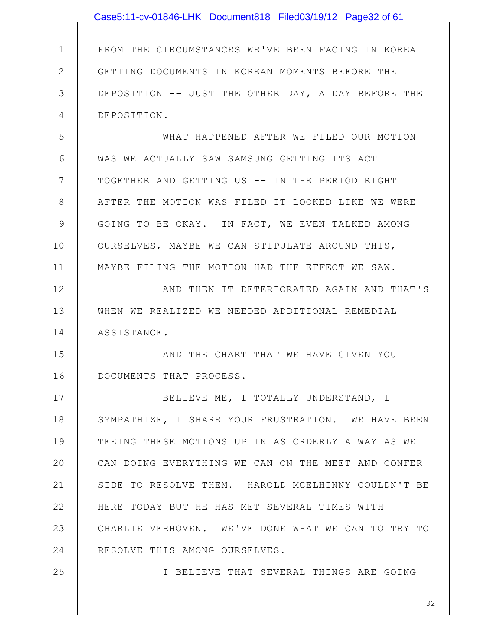|               | Case5:11-cv-01846-LHK Document818 Filed03/19/12 Page32 of 61 |
|---------------|--------------------------------------------------------------|
|               |                                                              |
| $\mathbf 1$   | FROM THE CIRCUMSTANCES WE'VE BEEN FACING IN KOREA            |
| $\mathbf{2}$  | GETTING DOCUMENTS IN KOREAN MOMENTS BEFORE THE               |
| 3             | DEPOSITION -- JUST THE OTHER DAY, A DAY BEFORE THE           |
| 4             | DEPOSITION.                                                  |
| 5             | WHAT HAPPENED AFTER WE FILED OUR MOTION                      |
| 6             | WAS WE ACTUALLY SAW SAMSUNG GETTING ITS ACT                  |
| 7             | TOGETHER AND GETTING US -- IN THE PERIOD RIGHT               |
| $8\,$         | AFTER THE MOTION WAS FILED IT LOOKED LIKE WE WERE            |
| $\mathcal{G}$ | GOING TO BE OKAY. IN FACT, WE EVEN TALKED AMONG              |
| 10            | OURSELVES, MAYBE WE CAN STIPULATE AROUND THIS,               |
| 11            | MAYBE FILING THE MOTION HAD THE EFFECT WE SAW.               |
| 12            | AND THEN IT DETERIORATED AGAIN AND THAT'S                    |
| 13            | WHEN WE REALIZED WE NEEDED ADDITIONAL REMEDIAL               |
| 14            | ASSISTANCE.                                                  |
| 15            | AND THE CHART THAT WE HAVE GIVEN YOU                         |
| 16            | DOCUMENTS THAT PROCESS.                                      |
| 17            | BELIEVE ME, I TOTALLY UNDERSTAND, I                          |
| 18            | SYMPATHIZE, I SHARE YOUR FRUSTRATION. WE HAVE BEEN           |
| 19            | TEEING THESE MOTIONS UP IN AS ORDERLY A WAY AS WE            |
| 20            | CAN DOING EVERYTHING WE CAN ON THE MEET AND CONFER           |
| 21            | SIDE TO RESOLVE THEM. HAROLD MCELHINNY COULDN'T BE           |
| 22            | HERE TODAY BUT HE HAS MET SEVERAL TIMES WITH                 |
| 23            | CHARLIE VERHOVEN. WE'VE DONE WHAT WE CAN TO TRY TO           |
| 24            | RESOLVE THIS AMONG OURSELVES.                                |
| 25            | I BELIEVE THAT SEVERAL THINGS ARE GOING                      |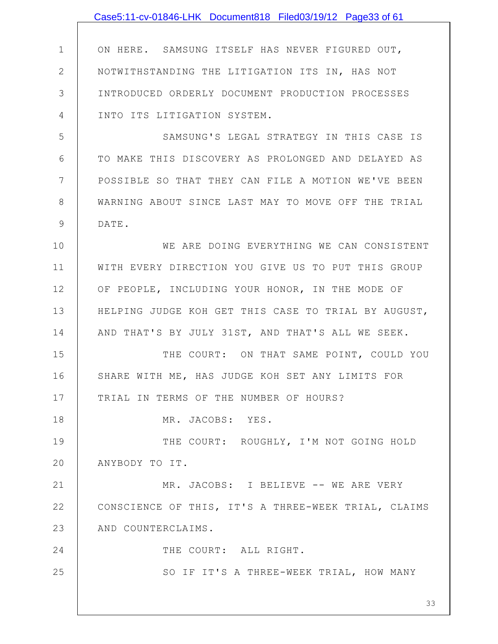1 2 3 4 5 6 7 8 9 10 11 12 13 14 15 16 17 18 19 20 21 22 23 24 25 33 ON HERE. SAMSUNG ITSELF HAS NEVER FIGURED OUT, NOTWITHSTANDING THE LITIGATION ITS IN, HAS NOT INTRODUCED ORDERLY DOCUMENT PRODUCTION PROCESSES INTO ITS LITIGATION SYSTEM. SAMSUNG'S LEGAL STRATEGY IN THIS CASE IS TO MAKE THIS DISCOVERY AS PROLONGED AND DELAYED AS POSSIBLE SO THAT THEY CAN FILE A MOTION WE'VE BEEN WARNING ABOUT SINCE LAST MAY TO MOVE OFF THE TRIAL DATE. WE ARE DOING EVERYTHING WE CAN CONSISTENT WITH EVERY DIRECTION YOU GIVE US TO PUT THIS GROUP OF PEOPLE, INCLUDING YOUR HONOR, IN THE MODE OF HELPING JUDGE KOH GET THIS CASE TO TRIAL BY AUGUST, AND THAT'S BY JULY 31ST, AND THAT'S ALL WE SEEK. THE COURT: ON THAT SAME POINT, COULD YOU SHARE WITH ME, HAS JUDGE KOH SET ANY LIMITS FOR TRIAL IN TERMS OF THE NUMBER OF HOURS? MR. JACOBS: YES. THE COURT: ROUGHLY, I'M NOT GOING HOLD ANYBODY TO IT. MR. JACOBS: I BELIEVE -- WE ARE VERY CONSCIENCE OF THIS, IT'S A THREE-WEEK TRIAL, CLAIMS AND COUNTERCLAIMS. THE COURT: ALL RIGHT. SO IF IT'S A THREE-WEEK TRIAL, HOW MANY Case5:11-cv-01846-LHK Document818 Filed03/19/12 Page33 of 61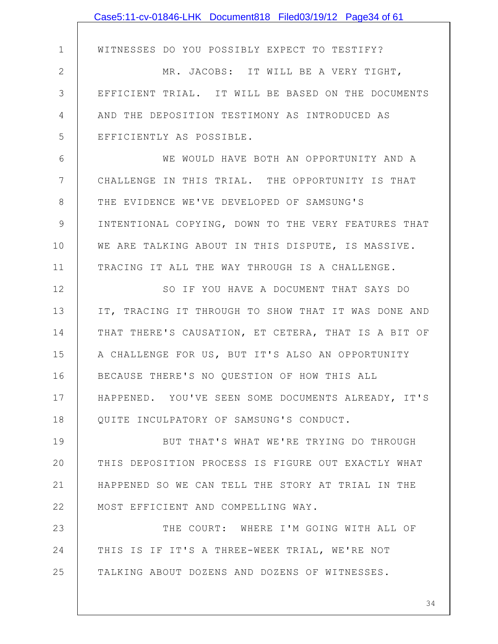|                | Case5:11-cv-01846-LHK Document818 Filed03/19/12 Page34 of 61 |
|----------------|--------------------------------------------------------------|
|                |                                                              |
| $\mathbf 1$    | WITNESSES DO YOU POSSIBLY EXPECT TO TESTIFY?                 |
| $\mathbf{2}$   | MR. JACOBS: IT WILL BE A VERY TIGHT,                         |
| 3              | EFFICIENT TRIAL. IT WILL BE BASED ON THE DOCUMENTS           |
| 4              | AND THE DEPOSITION TESTIMONY AS INTRODUCED AS                |
| 5              | EFFICIENTLY AS POSSIBLE.                                     |
| 6              | WE WOULD HAVE BOTH AN OPPORTUNITY AND A                      |
| $7\phantom{.}$ | CHALLENGE IN THIS TRIAL. THE OPPORTUNITY IS THAT             |
| 8              | THE EVIDENCE WE'VE DEVELOPED OF SAMSUNG'S                    |
| 9              | INTENTIONAL COPYING, DOWN TO THE VERY FEATURES THAT          |
| 10             | WE ARE TALKING ABOUT IN THIS DISPUTE, IS MASSIVE.            |
| 11             | TRACING IT ALL THE WAY THROUGH IS A CHALLENGE.               |
| 12             | SO IF YOU HAVE A DOCUMENT THAT SAYS DO                       |
| 13             | IT, TRACING IT THROUGH TO SHOW THAT IT WAS DONE AND          |
| 14             | THAT THERE'S CAUSATION, ET CETERA, THAT IS A BIT OF          |
| 15             | A CHALLENGE FOR US, BUT IT'S ALSO AN OPPORTUNITY             |
| 16             | BECAUSE THERE'S NO QUESTION OF HOW THIS ALL                  |
| 17             | HAPPENED. YOU'VE SEEN SOME DOCUMENTS ALREADY, IT'S           |
| 18             | QUITE INCULPATORY OF SAMSUNG'S CONDUCT.                      |
| 19             | BUT THAT'S WHAT WE'RE TRYING DO THROUGH                      |
| 20             | THIS DEPOSITION PROCESS IS FIGURE OUT EXACTLY WHAT           |
| 21             | HAPPENED SO WE CAN TELL THE STORY AT TRIAL IN THE            |
| 22             | MOST EFFICIENT AND COMPELLING WAY.                           |
| 23             | THE COURT: WHERE I'M GOING WITH ALL OF                       |
| 24             | THIS IS IF IT'S A THREE-WEEK TRIAL, WE'RE NOT                |
| 25             | TALKING ABOUT DOZENS AND DOZENS OF WITNESSES.                |
|                |                                                              |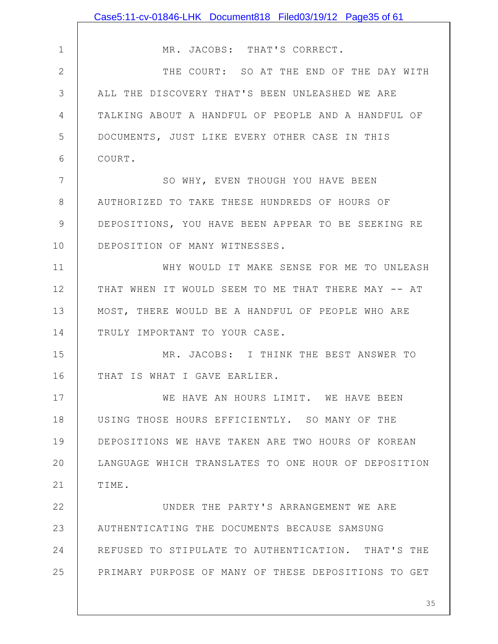|               | Case5:11-cv-01846-LHK Document818 Filed03/19/12 Page35 of 61 |
|---------------|--------------------------------------------------------------|
|               |                                                              |
| $\mathbf 1$   | MR. JACOBS: THAT'S CORRECT.                                  |
| $\mathbf{2}$  | THE COURT: SO AT THE END OF THE DAY WITH                     |
| 3             | ALL THE DISCOVERY THAT'S BEEN UNLEASHED WE ARE               |
| 4             | TALKING ABOUT A HANDFUL OF PEOPLE AND A HANDFUL OF           |
| 5             | DOCUMENTS, JUST LIKE EVERY OTHER CASE IN THIS                |
| 6             | COURT.                                                       |
| 7             | SO WHY, EVEN THOUGH YOU HAVE BEEN                            |
| $8\,$         | AUTHORIZED TO TAKE THESE HUNDREDS OF HOURS OF                |
| $\mathcal{G}$ | DEPOSITIONS, YOU HAVE BEEN APPEAR TO BE SEEKING RE           |
| 10            | DEPOSITION OF MANY WITNESSES.                                |
| 11            | WHY WOULD IT MAKE SENSE FOR ME TO UNLEASH                    |
| 12            | THAT WHEN IT WOULD SEEM TO ME THAT THERE MAY -- AT           |
| 13            | MOST, THERE WOULD BE A HANDFUL OF PEOPLE WHO ARE             |
| 14            | TRULY IMPORTANT TO YOUR CASE.                                |
| 15            | MR. JACOBS: I THINK THE BEST ANSWER TO                       |
| 16            | THAT IS WHAT I GAVE EARLIER.                                 |
| 17            | WE HAVE AN HOURS LIMIT. WE HAVE BEEN                         |
| 18            | USING THOSE HOURS EFFICIENTLY. SO MANY OF THE                |
| 19            | DEPOSITIONS WE HAVE TAKEN ARE TWO HOURS OF KOREAN            |
| 20            | LANGUAGE WHICH TRANSLATES TO ONE HOUR OF DEPOSITION          |
| 21            | TIME.                                                        |
| 22            | UNDER THE PARTY'S ARRANGEMENT WE ARE                         |
| 23            | AUTHENTICATING THE DOCUMENTS BECAUSE SAMSUNG                 |
| 24            | REFUSED TO STIPULATE TO AUTHENTICATION. THAT'S THE           |
| 25            | PRIMARY PURPOSE OF MANY OF THESE DEPOSITIONS TO GET          |
|               |                                                              |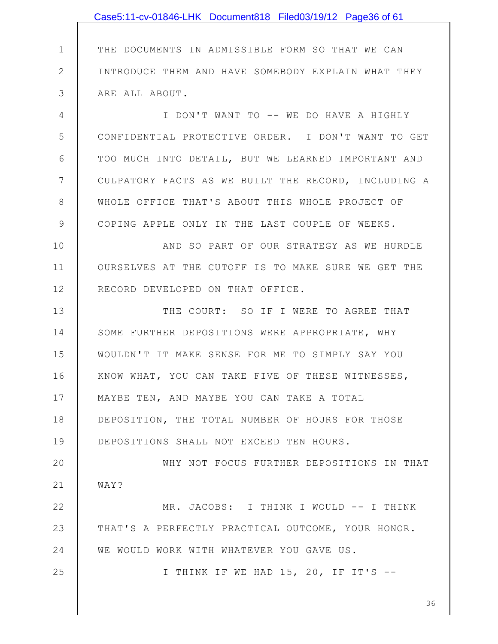1 2 3 4 5 6 7 8 9 10 11 12 13 14 15 16 17 18 19 20 21 22 23 24 25 THE DOCUMENTS IN ADMISSIBLE FORM SO THAT WE CAN INTRODUCE THEM AND HAVE SOMEBODY EXPLAIN WHAT THEY ARE ALL ABOUT. I DON'T WANT TO -- WE DO HAVE A HIGHLY CONFIDENTIAL PROTECTIVE ORDER. I DON'T WANT TO GET TOO MUCH INTO DETAIL, BUT WE LEARNED IMPORTANT AND CULPATORY FACTS AS WE BUILT THE RECORD, INCLUDING A WHOLE OFFICE THAT'S ABOUT THIS WHOLE PROJECT OF COPING APPLE ONLY IN THE LAST COUPLE OF WEEKS. AND SO PART OF OUR STRATEGY AS WE HURDLE OURSELVES AT THE CUTOFF IS TO MAKE SURE WE GET THE RECORD DEVELOPED ON THAT OFFICE. THE COURT: SO IF I WERE TO AGREE THAT SOME FURTHER DEPOSITIONS WERE APPROPRIATE, WHY WOULDN'T IT MAKE SENSE FOR ME TO SIMPLY SAY YOU KNOW WHAT, YOU CAN TAKE FIVE OF THESE WITNESSES, MAYBE TEN, AND MAYBE YOU CAN TAKE A TOTAL DEPOSITION, THE TOTAL NUMBER OF HOURS FOR THOSE DEPOSITIONS SHALL NOT EXCEED TEN HOURS. WHY NOT FOCUS FURTHER DEPOSITIONS IN THAT WAY? MR. JACOBS: I THINK I WOULD -- I THINK THAT'S A PERFECTLY PRACTICAL OUTCOME, YOUR HONOR. WE WOULD WORK WITH WHATEVER YOU GAVE US. I THINK IF WE HAD 15, 20, IF IT'S -- Case5:11-cv-01846-LHK Document818 Filed03/19/12 Page36 of 61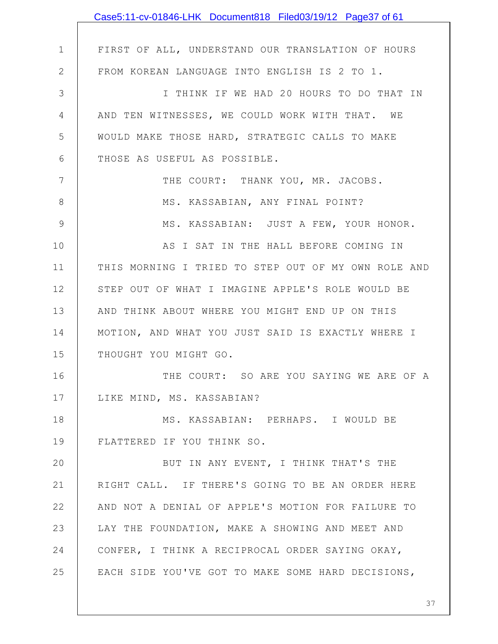|               | Case5:11-cv-01846-LHK Document818 Filed03/19/12 Page37 of 61 |
|---------------|--------------------------------------------------------------|
|               |                                                              |
| $\mathbf 1$   | FIRST OF ALL, UNDERSTAND OUR TRANSLATION OF HOURS            |
| $\mathbf{2}$  | FROM KOREAN LANGUAGE INTO ENGLISH IS 2 TO 1.                 |
| 3             | I THINK IF WE HAD 20 HOURS TO DO THAT IN                     |
| 4             | AND TEN WITNESSES, WE COULD WORK WITH THAT. WE               |
| 5             | WOULD MAKE THOSE HARD, STRATEGIC CALLS TO MAKE               |
| 6             | THOSE AS USEFUL AS POSSIBLE.                                 |
| 7             | THE COURT: THANK YOU, MR. JACOBS.                            |
| $8\,$         | MS. KASSABIAN, ANY FINAL POINT?                              |
| $\mathcal{G}$ | MS. KASSABIAN: JUST A FEW, YOUR HONOR.                       |
| 10            | AS I SAT IN THE HALL BEFORE COMING IN                        |
| 11            | THIS MORNING I TRIED TO STEP OUT OF MY OWN ROLE AND          |
| 12            | STEP OUT OF WHAT I IMAGINE APPLE'S ROLE WOULD BE             |
| 13            | AND THINK ABOUT WHERE YOU MIGHT END UP ON THIS               |
| 14            | MOTION, AND WHAT YOU JUST SAID IS EXACTLY WHERE I            |
| 15            | THOUGHT YOU MIGHT GO.                                        |
| 16            | THE COURT: SO ARE YOU SAYING WE ARE OF A                     |
| 17            | LIKE MIND, MS. KASSABIAN?                                    |
| 18            | MS. KASSABIAN: PERHAPS. I WOULD BE                           |
| 19            | FLATTERED IF YOU THINK SO.                                   |
| 20            | BUT IN ANY EVENT, I THINK THAT'S THE                         |
| 21            | RIGHT CALL. IF THERE'S GOING TO BE AN ORDER HERE             |
| 22            | AND NOT A DENIAL OF APPLE'S MOTION FOR FAILURE TO            |
| 23            | LAY THE FOUNDATION, MAKE A SHOWING AND MEET AND              |
| 24            | CONFER, I THINK A RECIPROCAL ORDER SAYING OKAY,              |
| 25            | EACH SIDE YOU'VE GOT TO MAKE SOME HARD DECISIONS,            |
|               |                                                              |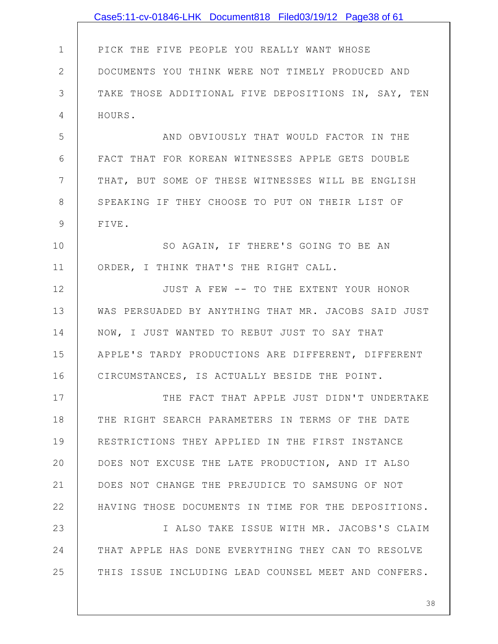|              | Case5:11-cv-01846-LHK Document818 Filed03/19/12 Page38 of 61 |
|--------------|--------------------------------------------------------------|
|              |                                                              |
| $\mathbf 1$  | PICK THE FIVE PEOPLE YOU REALLY WANT WHOSE                   |
| $\mathbf{2}$ | DOCUMENTS YOU THINK WERE NOT TIMELY PRODUCED AND             |
| 3            | TAKE THOSE ADDITIONAL FIVE DEPOSITIONS IN, SAY, TEN          |
| 4            | HOURS.                                                       |
| 5            | AND OBVIOUSLY THAT WOULD FACTOR IN THE                       |
| 6            | FACT THAT FOR KOREAN WITNESSES APPLE GETS DOUBLE             |
| 7            | THAT, BUT SOME OF THESE WITNESSES WILL BE ENGLISH            |
| 8            | SPEAKING IF THEY CHOOSE TO PUT ON THEIR LIST OF              |
| 9            | FIVE.                                                        |
| 10           | SO AGAIN, IF THERE'S GOING TO BE AN                          |
| 11           | ORDER, I THINK THAT'S THE RIGHT CALL.                        |
| 12           | JUST A FEW -- TO THE EXTENT YOUR HONOR                       |
| 13           | WAS PERSUADED BY ANYTHING THAT MR. JACOBS SAID JUST          |
| 14           | NOW, I JUST WANTED TO REBUT JUST TO SAY THAT                 |
| 15           | APPLE'S TARDY PRODUCTIONS ARE DIFFERENT, DIFFERENT           |
| 16           | CIRCUMSTANCES, IS ACTUALLY BESIDE THE POINT.                 |
| 17           | THE FACT THAT APPLE JUST DIDN'T UNDERTAKE                    |
| 18           | THE RIGHT SEARCH PARAMETERS IN TERMS OF THE DATE             |
| 19           | RESTRICTIONS THEY APPLIED IN THE FIRST INSTANCE              |
| 20           | DOES NOT EXCUSE THE LATE PRODUCTION, AND IT ALSO             |
| 21           | DOES NOT CHANGE THE PREJUDICE TO SAMSUNG OF NOT              |
| 22           | HAVING THOSE DOCUMENTS IN TIME FOR THE DEPOSITIONS.          |
| 23           | I ALSO TAKE ISSUE WITH MR. JACOBS'S CLAIM                    |
| 24           | THAT APPLE HAS DONE EVERYTHING THEY CAN TO RESOLVE           |
| 25           | THIS ISSUE INCLUDING LEAD COUNSEL MEET AND CONFERS.          |
|              |                                                              |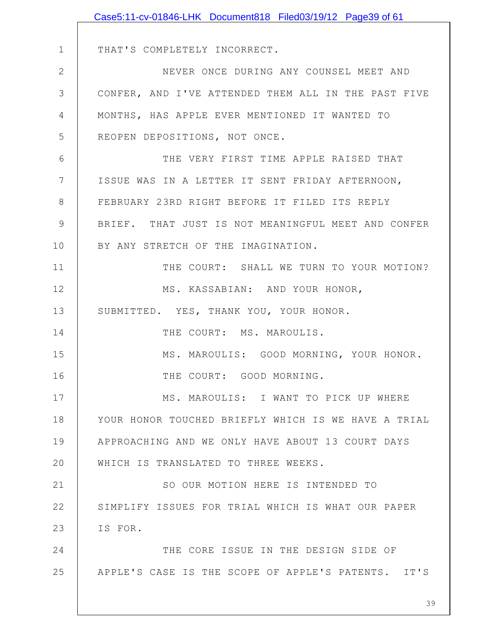|              | Case5:11-cv-01846-LHK Document818 Filed03/19/12 Page39 of 61 |
|--------------|--------------------------------------------------------------|
|              |                                                              |
| $\mathbf 1$  | THAT'S COMPLETELY INCORRECT.                                 |
| $\mathbf{2}$ | NEVER ONCE DURING ANY COUNSEL MEET AND                       |
| 3            | CONFER, AND I'VE ATTENDED THEM ALL IN THE PAST FIVE          |
| 4            | MONTHS, HAS APPLE EVER MENTIONED IT WANTED TO                |
| 5            | REOPEN DEPOSITIONS, NOT ONCE.                                |
| 6            | THE VERY FIRST TIME APPLE RAISED THAT                        |
| 7            | ISSUE WAS IN A LETTER IT SENT FRIDAY AFTERNOON,              |
| 8            | FEBRUARY 23RD RIGHT BEFORE IT FILED ITS REPLY                |
| 9            | BRIEF. THAT JUST IS NOT MEANINGFUL MEET AND CONFER           |
| 10           | BY ANY STRETCH OF THE IMAGINATION.                           |
| 11           | THE COURT: SHALL WE TURN TO YOUR MOTION?                     |
| 12           | MS. KASSABIAN: AND YOUR HONOR,                               |
| 13           | SUBMITTED. YES, THANK YOU, YOUR HONOR.                       |
| 14           | THE COURT: MS. MAROULIS.                                     |
| 15           | MS. MAROULIS: GOOD MORNING, YOUR HONOR.                      |
| 16           | THE COURT: GOOD MORNING.                                     |
| 17           | MS. MAROULIS: I WANT TO PICK UP WHERE                        |
| 18           | YOUR HONOR TOUCHED BRIEFLY WHICH IS WE HAVE A TRIAL          |
| 19           | APPROACHING AND WE ONLY HAVE ABOUT 13 COURT DAYS             |
| 20           | WHICH IS TRANSLATED TO THREE WEEKS.                          |
| 21           | SO OUR MOTION HERE IS INTENDED TO                            |
| 22           | SIMPLIFY ISSUES FOR TRIAL WHICH IS WHAT OUR PAPER            |
| 23           | IS FOR.                                                      |
| 24           | THE CORE ISSUE IN THE DESIGN SIDE OF                         |
| 25           | APPLE'S CASE IS THE SCOPE OF APPLE'S PATENTS. IT'S           |
|              |                                                              |
|              | 39                                                           |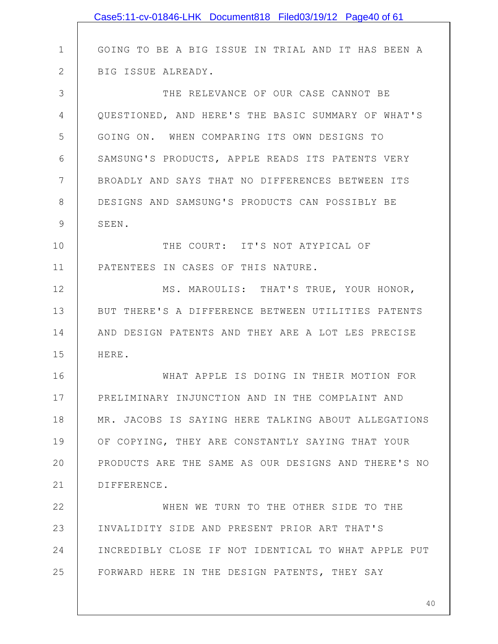|              | Case5:11-cv-01846-LHK Document818 Filed03/19/12 Page40 of 61 |
|--------------|--------------------------------------------------------------|
|              |                                                              |
| $\mathbf 1$  | GOING TO BE A BIG ISSUE IN TRIAL AND IT HAS BEEN A           |
| $\mathbf{2}$ | BIG ISSUE ALREADY.                                           |
| 3            | THE RELEVANCE OF OUR CASE CANNOT BE                          |
| 4            | QUESTIONED, AND HERE'S THE BASIC SUMMARY OF WHAT'S           |
| 5            | GOING ON. WHEN COMPARING ITS OWN DESIGNS TO                  |
| 6            | SAMSUNG'S PRODUCTS, APPLE READS ITS PATENTS VERY             |
| 7            | BROADLY AND SAYS THAT NO DIFFERENCES BETWEEN ITS             |
| 8            | DESIGNS AND SAMSUNG'S PRODUCTS CAN POSSIBLY BE               |
| 9            | SEEN.                                                        |
| 10           | THE COURT: IT'S NOT ATYPICAL OF                              |
| 11           | PATENTEES IN CASES OF THIS NATURE.                           |
| 12           | MS. MAROULIS: THAT'S TRUE, YOUR HONOR,                       |
| 13           | BUT THERE'S A DIFFERENCE BETWEEN UTILITIES PATENTS           |
| 14           | AND DESIGN PATENTS AND THEY ARE A LOT LES PRECISE            |
| 15           | HERE.                                                        |
| 16           | WHAT APPLE IS DOING IN THEIR MOTION FOR                      |
| 17           | PRELIMINARY INJUNCTION AND IN THE COMPLAINT AND              |
| 18           | MR. JACOBS IS SAYING HERE TALKING ABOUT ALLEGATIONS          |
| 19           | OF COPYING, THEY ARE CONSTANTLY SAYING THAT YOUR             |
| 20           | PRODUCTS ARE THE SAME AS OUR DESIGNS AND THERE'S NO          |
| 21           | DIFFERENCE.                                                  |
| 22           | WHEN WE TURN TO THE OTHER SIDE TO THE                        |
| 23           | INVALIDITY SIDE AND PRESENT PRIOR ART THAT'S                 |
| 24           | INCREDIBLY CLOSE IF NOT IDENTICAL TO WHAT APPLE PUT          |
| 25           | FORWARD HERE IN THE DESIGN PATENTS, THEY SAY                 |
|              |                                                              |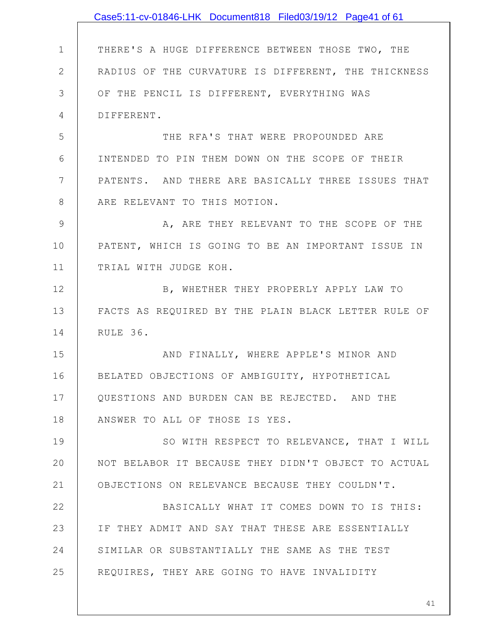|              | Case5:11-cv-01846-LHK Document818 Filed03/19/12 Page41 of 61 |
|--------------|--------------------------------------------------------------|
|              |                                                              |
| $\mathbf 1$  | THERE'S A HUGE DIFFERENCE BETWEEN THOSE TWO, THE             |
| $\mathbf{2}$ | RADIUS OF THE CURVATURE IS DIFFERENT, THE THICKNESS          |
| 3            | OF THE PENCIL IS DIFFERENT, EVERYTHING WAS                   |
| 4            | DIFFERENT.                                                   |
| 5            | THE RFA'S THAT WERE PROPOUNDED ARE                           |
| 6            | INTENDED TO PIN THEM DOWN ON THE SCOPE OF THEIR              |
| 7            | PATENTS. AND THERE ARE BASICALLY THREE ISSUES THAT           |
| 8            | ARE RELEVANT TO THIS MOTION.                                 |
| $\mathsf 9$  | A, ARE THEY RELEVANT TO THE SCOPE OF THE                     |
| 10           | PATENT, WHICH IS GOING TO BE AN IMPORTANT ISSUE IN           |
| 11           | TRIAL WITH JUDGE KOH.                                        |
| 12           | B, WHETHER THEY PROPERLY APPLY LAW TO                        |
| 13           | FACTS AS REQUIRED BY THE PLAIN BLACK LETTER RULE OF          |
| 14           | RULE 36.                                                     |
| 15           | AND FINALLY, WHERE APPLE'S MINOR AND                         |
| 16           | BELATED OBJECTIONS OF AMBIGUITY, HYPOTHETICAL                |
| 17           | QUESTIONS AND BURDEN CAN BE REJECTED. AND THE                |
| 18           | ANSWER TO ALL OF THOSE IS YES.                               |
| 19           | SO WITH RESPECT TO RELEVANCE, THAT I WILL                    |
| 20           | NOT BELABOR IT BECAUSE THEY DIDN'T OBJECT TO ACTUAL          |
| 21           | OBJECTIONS ON RELEVANCE BECAUSE THEY COULDN'T.               |
| 22           | BASICALLY WHAT IT COMES DOWN TO IS THIS:                     |
| 23           | IF THEY ADMIT AND SAY THAT THESE ARE ESSENTIALLY             |
| 24           | SIMILAR OR SUBSTANTIALLY THE SAME AS THE TEST                |
| 25           | REQUIRES, THEY ARE GOING TO HAVE INVALIDITY                  |
|              |                                                              |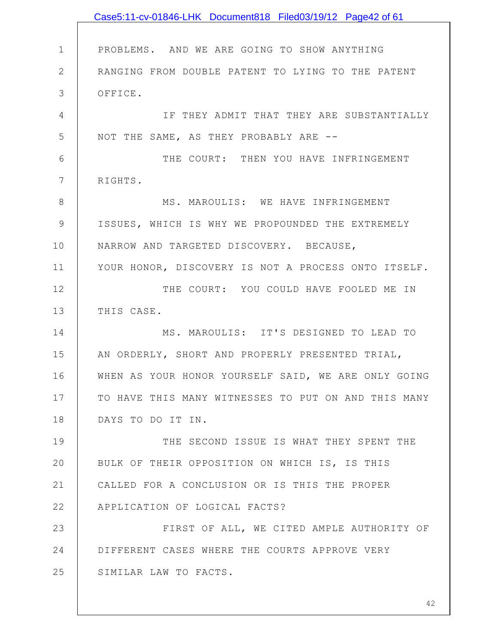|              | Case5:11-cv-01846-LHK Document818 Filed03/19/12 Page42 of 61 |
|--------------|--------------------------------------------------------------|
|              |                                                              |
| $\mathbf 1$  | PROBLEMS. AND WE ARE GOING TO SHOW ANYTHING                  |
| $\mathbf{2}$ | RANGING FROM DOUBLE PATENT TO LYING TO THE PATENT            |
| 3            | OFFICE.                                                      |
| 4            | IF THEY ADMIT THAT THEY ARE SUBSTANTIALLY                    |
| 5            | NOT THE SAME, AS THEY PROBABLY ARE --                        |
| 6            | THE COURT: THEN YOU HAVE INFRINGEMENT                        |
| 7            | RIGHTS.                                                      |
| 8            | MS. MAROULIS: WE HAVE INFRINGEMENT                           |
| 9            | ISSUES, WHICH IS WHY WE PROPOUNDED THE EXTREMELY             |
| 10           | NARROW AND TARGETED DISCOVERY. BECAUSE,                      |
| 11           | YOUR HONOR, DISCOVERY IS NOT A PROCESS ONTO ITSELF.          |
| 12           | THE COURT: YOU COULD HAVE FOOLED ME IN                       |
| 13           | THIS CASE.                                                   |
| 14           | MS. MAROULIS: IT'S DESIGNED TO LEAD TO                       |
| 15           | AN ORDERLY, SHORT AND PROPERLY PRESENTED TRIAL,              |
| 16           | WHEN AS YOUR HONOR YOURSELF SAID, WE ARE ONLY GOING          |
| 17           | TO HAVE THIS MANY WITNESSES TO PUT ON AND THIS MANY          |
| 18           | DAYS TO DO IT IN.                                            |
| 19           | THE SECOND ISSUE IS WHAT THEY SPENT THE                      |
| 20           | BULK OF THEIR OPPOSITION ON WHICH IS, IS THIS                |
| 21           | CALLED FOR A CONCLUSION OR IS THIS THE PROPER                |
| 22           | APPLICATION OF LOGICAL FACTS?                                |
| 23           | FIRST OF ALL, WE CITED AMPLE AUTHORITY OF                    |
| 24           | DIFFERENT CASES WHERE THE COURTS APPROVE VERY                |
| 25           | SIMILAR LAW TO FACTS.                                        |
|              |                                                              |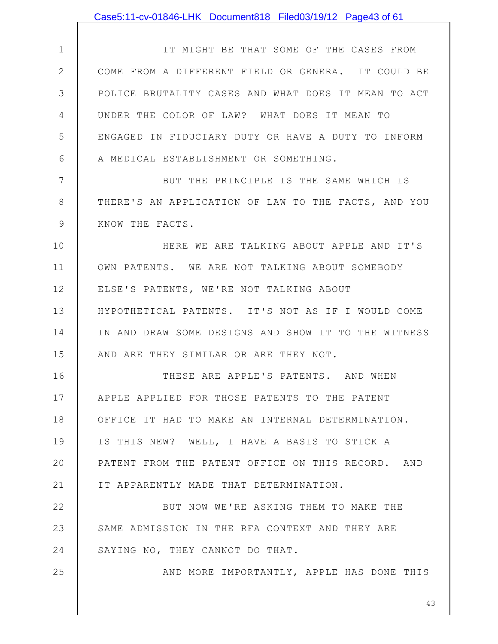|               | Case5:11-cv-01846-LHK Document818 Filed03/19/12 Page43 of 61 |
|---------------|--------------------------------------------------------------|
|               |                                                              |
| $\mathbf 1$   | IT MIGHT BE THAT SOME OF THE CASES FROM                      |
| $\mathbf{2}$  | COME FROM A DIFFERENT FIELD OR GENERA. IT COULD BE           |
| 3             | POLICE BRUTALITY CASES AND WHAT DOES IT MEAN TO ACT          |
| 4             | UNDER THE COLOR OF LAW? WHAT DOES IT MEAN TO                 |
| 5             | ENGAGED IN FIDUCIARY DUTY OR HAVE A DUTY TO INFORM           |
| 6             | A MEDICAL ESTABLISHMENT OR SOMETHING.                        |
| 7             | BUT THE PRINCIPLE IS THE SAME WHICH IS                       |
| $8\,$         | THERE'S AN APPLICATION OF LAW TO THE FACTS, AND YOU          |
| $\mathcal{G}$ | KNOW THE FACTS.                                              |
| 10            | HERE WE ARE TALKING ABOUT APPLE AND IT'S                     |
| 11            | OWN PATENTS. WE ARE NOT TALKING ABOUT SOMEBODY               |
| 12            | ELSE'S PATENTS, WE'RE NOT TALKING ABOUT                      |
| 13            | HYPOTHETICAL PATENTS. IT'S NOT AS IF I WOULD COME            |
| 14            | IN AND DRAW SOME DESIGNS AND SHOW IT TO THE WITNESS          |
| 15            | AND ARE THEY SIMILAR OR ARE THEY NOT.                        |
| 16            | THESE ARE APPLE'S PATENTS. AND WHEN                          |
| 17            | APPLE APPLIED FOR THOSE PATENTS TO THE PATENT                |
| 18            | OFFICE IT HAD TO MAKE AN INTERNAL DETERMINATION.             |
| 19            | IS THIS NEW? WELL, I HAVE A BASIS TO STICK A                 |
| 20            | PATENT FROM THE PATENT OFFICE ON THIS RECORD. AND            |
| 21            | IT APPARENTLY MADE THAT DETERMINATION.                       |
| 22            | BUT NOW WE'RE ASKING THEM TO MAKE THE                        |
| 23            | SAME ADMISSION IN THE RFA CONTEXT AND THEY ARE               |
| 24            | SAYING NO, THEY CANNOT DO THAT.                              |
| 25            | AND MORE IMPORTANTLY, APPLE HAS DONE THIS                    |
|               |                                                              |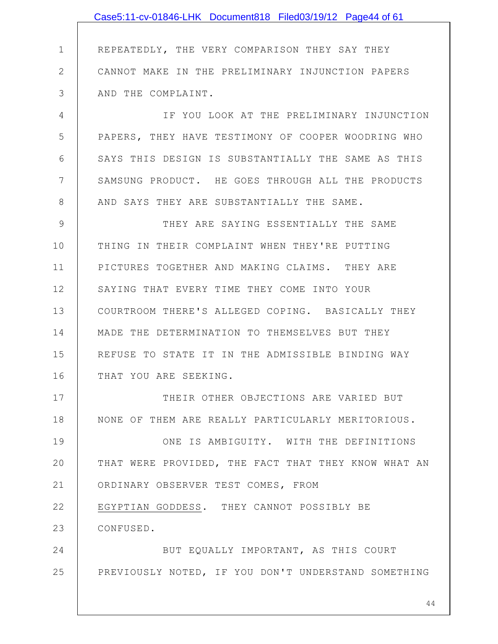1 2 3 4 5 6 7 8 9 10 11 12 13 14 15 16 17 18 19 20 21 22 23 24 25 REPEATEDLY, THE VERY COMPARISON THEY SAY THEY CANNOT MAKE IN THE PRELIMINARY INJUNCTION PAPERS AND THE COMPLAINT. IF YOU LOOK AT THE PRELIMINARY INJUNCTION PAPERS, THEY HAVE TESTIMONY OF COOPER WOODRING WHO SAYS THIS DESIGN IS SUBSTANTIALLY THE SAME AS THIS SAMSUNG PRODUCT. HE GOES THROUGH ALL THE PRODUCTS AND SAYS THEY ARE SUBSTANTIALLY THE SAME. THEY ARE SAYING ESSENTIALLY THE SAME THING IN THEIR COMPLAINT WHEN THEY'RE PUTTING PICTURES TOGETHER AND MAKING CLAIMS. THEY ARE SAYING THAT EVERY TIME THEY COME INTO YOUR COURTROOM THERE'S ALLEGED COPING. BASICALLY THEY MADE THE DETERMINATION TO THEMSELVES BUT THEY REFUSE TO STATE IT IN THE ADMISSIBLE BINDING WAY THAT YOU ARE SEEKING. THEIR OTHER OBJECTIONS ARE VARIED BUT NONE OF THEM ARE REALLY PARTICULARLY MERITORIOUS. ONE IS AMBIGUITY. WITH THE DEFINITIONS THAT WERE PROVIDED, THE FACT THAT THEY KNOW WHAT AN ORDINARY OBSERVER TEST COMES, FROM EGYPTIAN GODDESS. THEY CANNOT POSSIBLY BE CONFUSED. BUT EQUALLY IMPORTANT, AS THIS COURT PREVIOUSLY NOTED, IF YOU DON'T UNDERSTAND SOMETHING Case5:11-cv-01846-LHK Document818 Filed03/19/12 Page44 of 61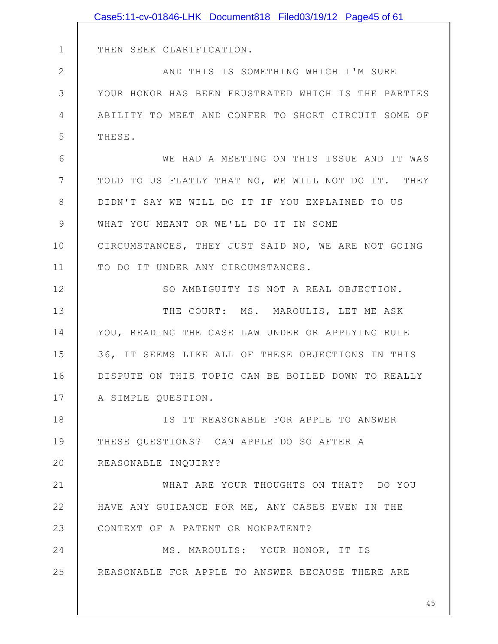|              | Case5:11-cv-01846-LHK Document818 Filed03/19/12 Page45 of 61 |
|--------------|--------------------------------------------------------------|
|              |                                                              |
| $\mathbf 1$  | THEN SEEK CLARIFICATION.                                     |
| $\mathbf{2}$ | AND THIS IS SOMETHING WHICH I'M SURE                         |
| 3            | YOUR HONOR HAS BEEN FRUSTRATED WHICH IS THE PARTIES          |
| 4            | ABILITY TO MEET AND CONFER TO SHORT CIRCUIT SOME OF          |
| 5            | THESE.                                                       |
| 6            | WE HAD A MEETING ON THIS ISSUE AND IT WAS                    |
| 7            | TOLD TO US FLATLY THAT NO, WE WILL NOT DO IT. THEY           |
| 8            | DIDN'T SAY WE WILL DO IT IF YOU EXPLAINED TO US              |
| 9            | WHAT YOU MEANT OR WE'LL DO IT IN SOME                        |
| 10           | CIRCUMSTANCES, THEY JUST SAID NO, WE ARE NOT GOING           |
| 11           | TO DO IT UNDER ANY CIRCUMSTANCES.                            |
| 12           | SO AMBIGUITY IS NOT A REAL OBJECTION.                        |
| 13           | THE COURT: MS. MAROULIS, LET ME ASK                          |
| 14           | YOU, READING THE CASE LAW UNDER OR APPLYING RULE             |
| 15           | 36, IT SEEMS LIKE ALL OF THESE OBJECTIONS IN THIS            |
| 16           | DISPUTE ON THIS TOPIC CAN BE BOILED DOWN TO REALLY           |
| 17           | A SIMPLE QUESTION.                                           |
| 18           | IS IT REASONABLE FOR APPLE TO ANSWER                         |
| 19           | THESE QUESTIONS? CAN APPLE DO SO AFTER A                     |
| 20           | REASONABLE INQUIRY?                                          |
| 21           | WHAT ARE YOUR THOUGHTS ON THAT? DO YOU                       |
| 22           | HAVE ANY GUIDANCE FOR ME, ANY CASES EVEN IN THE              |
| 23           | CONTEXT OF A PATENT OR NONPATENT?                            |
| 24           | MS. MAROULIS: YOUR HONOR, IT IS                              |
| 25           | REASONABLE FOR APPLE TO ANSWER BECAUSE THERE ARE             |
|              |                                                              |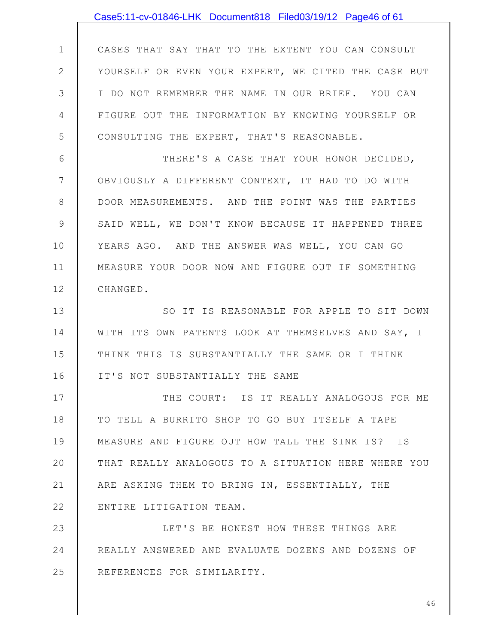|                | Case5:11-cv-01846-LHK Document818 Filed03/19/12 Page46 of 61 |
|----------------|--------------------------------------------------------------|
|                |                                                              |
| $\mathbf 1$    | CASES THAT SAY THAT TO THE EXTENT YOU CAN CONSULT            |
| $\mathbf{2}$   | YOURSELF OR EVEN YOUR EXPERT, WE CITED THE CASE BUT          |
| 3              | I DO NOT REMEMBER THE NAME IN OUR BRIEF. YOU CAN             |
| 4              | FIGURE OUT THE INFORMATION BY KNOWING YOURSELF OR            |
| 5              | CONSULTING THE EXPERT, THAT'S REASONABLE.                    |
| 6              | THERE'S A CASE THAT YOUR HONOR DECIDED,                      |
| $7\phantom{.}$ | OBVIOUSLY A DIFFERENT CONTEXT, IT HAD TO DO WITH             |
| $8\,$          | DOOR MEASUREMENTS. AND THE POINT WAS THE PARTIES             |
| 9              | SAID WELL, WE DON'T KNOW BECAUSE IT HAPPENED THREE           |
| 10             | YEARS AGO. AND THE ANSWER WAS WELL, YOU CAN GO               |
| 11             | MEASURE YOUR DOOR NOW AND FIGURE OUT IF SOMETHING            |
| 12             | CHANGED.                                                     |
| 13             | SO IT IS REASONABLE FOR APPLE TO SIT DOWN                    |
| 14             | WITH ITS OWN PATENTS LOOK AT THEMSELVES AND SAY, I           |
| 15             | THINK THIS IS SUBSTANTIALLY THE SAME OR I THINK              |
| 16             | IT'S NOT SUBSTANTIALLY THE SAME                              |
| 17             | THE COURT: IS IT REALLY ANALOGOUS FOR ME                     |
| 18             | TO TELL A BURRITO SHOP TO GO BUY ITSELF A TAPE               |
| 19             | MEASURE AND FIGURE OUT HOW TALL THE SINK IS? IS              |
| 20             | THAT REALLY ANALOGOUS TO A SITUATION HERE WHERE YOU          |
| 21             | ARE ASKING THEM TO BRING IN, ESSENTIALLY, THE                |
| 22             | ENTIRE LITIGATION TEAM.                                      |
| 23             | LET'S BE HONEST HOW THESE THINGS ARE                         |
| 24             | REALLY ANSWERED AND EVALUATE DOZENS AND DOZENS OF            |
| 25             | REFERENCES FOR SIMILARITY.                                   |
|                |                                                              |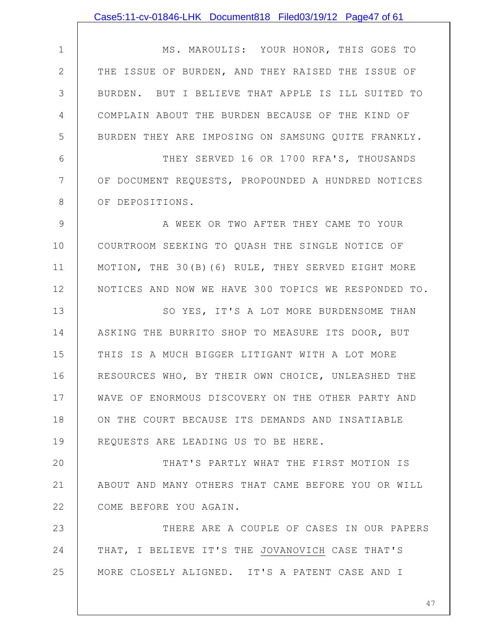1 2 3 4 5 6 7 8 9 10 11 12 13 14 15 16 17 18 19 20 21 22 23 24 25 MS. MAROULIS: YOUR HONOR, THIS GOES TO THE ISSUE OF BURDEN, AND THEY RAISED THE ISSUE OF BURDEN. BUT I BELIEVE THAT APPLE IS ILL SUITED TO COMPLAIN ABOUT THE BURDEN BECAUSE OF THE KIND OF BURDEN THEY ARE IMPOSING ON SAMSUNG QUITE FRANKLY. THEY SERVED 16 OR 1700 RFA'S, THOUSANDS OF DOCUMENT REQUESTS, PROPOUNDED A HUNDRED NOTICES OF DEPOSITIONS. A WEEK OR TWO AFTER THEY CAME TO YOUR COURTROOM SEEKING TO QUASH THE SINGLE NOTICE OF MOTION, THE 30(B)(6) RULE, THEY SERVED EIGHT MORE NOTICES AND NOW WE HAVE 300 TOPICS WE RESPONDED TO. SO YES, IT'S A LOT MORE BURDENSOME THAN ASKING THE BURRITO SHOP TO MEASURE ITS DOOR, BUT THIS IS A MUCH BIGGER LITIGANT WITH A LOT MORE RESOURCES WHO, BY THEIR OWN CHOICE, UNLEASHED THE WAVE OF ENORMOUS DISCOVERY ON THE OTHER PARTY AND ON THE COURT BECAUSE ITS DEMANDS AND INSATIABLE REQUESTS ARE LEADING US TO BE HERE. THAT'S PARTLY WHAT THE FIRST MOTION IS ABOUT AND MANY OTHERS THAT CAME BEFORE YOU OR WILL COME BEFORE YOU AGAIN. THERE ARE A COUPLE OF CASES IN OUR PAPERS THAT, I BELIEVE IT'S THE JOVANOVICH CASE THAT'S MORE CLOSELY ALIGNED. IT'S A PATENT CASE AND I Case5:11-cv-01846-LHK Document818 Filed03/19/12 Page47 of 61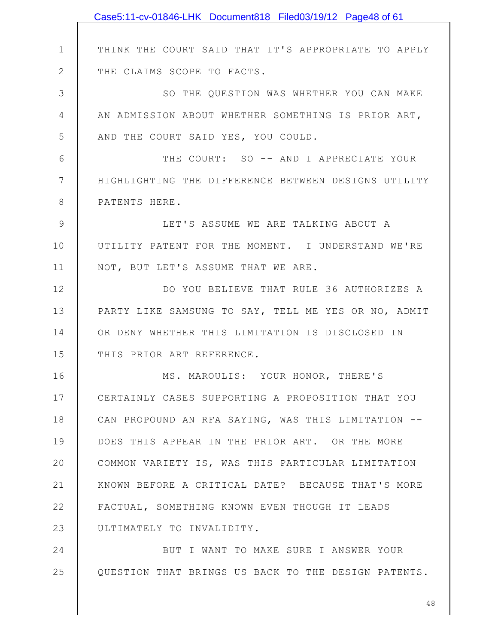|              | Case5:11-cv-01846-LHK Document818 Filed03/19/12 Page48 of 61 |
|--------------|--------------------------------------------------------------|
|              |                                                              |
| $\mathbf 1$  | THINK THE COURT SAID THAT IT'S APPROPRIATE TO APPLY          |
| $\mathbf{2}$ | THE CLAIMS SCOPE TO FACTS.                                   |
| 3            | SO THE QUESTION WAS WHETHER YOU CAN MAKE                     |
| 4            | AN ADMISSION ABOUT WHETHER SOMETHING IS PRIOR ART,           |
| 5            | AND THE COURT SAID YES, YOU COULD.                           |
| 6            | THE COURT: SO -- AND I APPRECIATE YOUR                       |
| 7            | HIGHLIGHTING THE DIFFERENCE BETWEEN DESIGNS UTILITY          |
| 8            | PATENTS HERE.                                                |
| 9            | LET'S ASSUME WE ARE TALKING ABOUT A                          |
| 10           | UTILITY PATENT FOR THE MOMENT. I UNDERSTAND WE'RE            |
| 11           | NOT, BUT LET'S ASSUME THAT WE ARE.                           |
| 12           | DO YOU BELIEVE THAT RULE 36 AUTHORIZES A                     |
| 13           | PARTY LIKE SAMSUNG TO SAY, TELL ME YES OR NO, ADMIT          |
| 14           | OR DENY WHETHER THIS LIMITATION IS DISCLOSED IN              |
| 15           | THIS PRIOR ART REFERENCE.                                    |
| 16           | MS. MAROULIS: YOUR HONOR, THERE'S                            |
| 17           | CERTAINLY CASES SUPPORTING A PROPOSITION THAT YOU            |
| 18           | CAN PROPOUND AN RFA SAYING, WAS THIS LIMITATION --           |
| 19           | DOES THIS APPEAR IN THE PRIOR ART. OR THE MORE               |
| 20           | COMMON VARIETY IS, WAS THIS PARTICULAR LIMITATION            |
| 21           | KNOWN BEFORE A CRITICAL DATE? BECAUSE THAT'S MORE            |
| 22           | FACTUAL, SOMETHING KNOWN EVEN THOUGH IT LEADS                |
| 23           | ULTIMATELY TO INVALIDITY.                                    |
| 24           | BUT I WANT TO MAKE SURE I ANSWER YOUR                        |
| 25           | QUESTION THAT BRINGS US BACK TO THE DESIGN PATENTS.          |
|              |                                                              |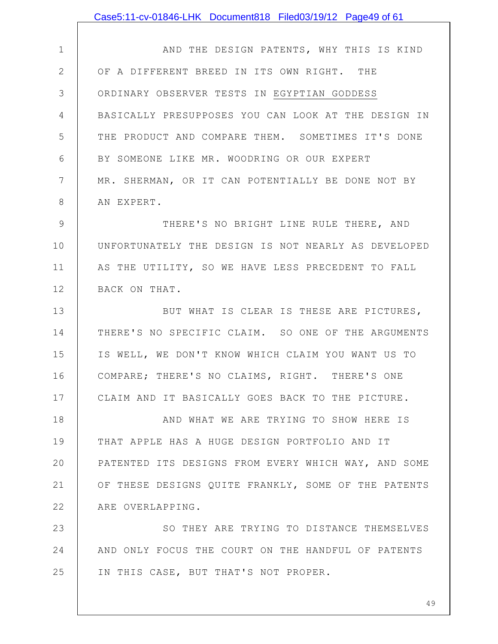1 2 3 4 5 6 7 8 9 10 11 12 13 14 15 16 17 18 19 20 21 22 23 24 25 AND THE DESIGN PATENTS, WHY THIS IS KIND OF A DIFFERENT BREED IN ITS OWN RIGHT. THE ORDINARY OBSERVER TESTS IN EGYPTIAN GODDESS BASICALLY PRESUPPOSES YOU CAN LOOK AT THE DESIGN IN THE PRODUCT AND COMPARE THEM. SOMETIMES IT'S DONE BY SOMEONE LIKE MR. WOODRING OR OUR EXPERT MR. SHERMAN, OR IT CAN POTENTIALLY BE DONE NOT BY AN EXPERT. THERE'S NO BRIGHT LINE RULE THERE, AND UNFORTUNATELY THE DESIGN IS NOT NEARLY AS DEVELOPED AS THE UTILITY, SO WE HAVE LESS PRECEDENT TO FALL BACK ON THAT. BUT WHAT IS CLEAR IS THESE ARE PICTURES, THERE'S NO SPECIFIC CLAIM. SO ONE OF THE ARGUMENTS IS WELL, WE DON'T KNOW WHICH CLAIM YOU WANT US TO COMPARE; THERE'S NO CLAIMS, RIGHT. THERE'S ONE CLAIM AND IT BASICALLY GOES BACK TO THE PICTURE. AND WHAT WE ARE TRYING TO SHOW HERE IS THAT APPLE HAS A HUGE DESIGN PORTFOLIO AND IT PATENTED ITS DESIGNS FROM EVERY WHICH WAY, AND SOME OF THESE DESIGNS QUITE FRANKLY, SOME OF THE PATENTS ARE OVERLAPPING. SO THEY ARE TRYING TO DISTANCE THEMSELVES AND ONLY FOCUS THE COURT ON THE HANDFUL OF PATENTS IN THIS CASE, BUT THAT'S NOT PROPER. Case5:11-cv-01846-LHK Document818 Filed03/19/12 Page49 of 61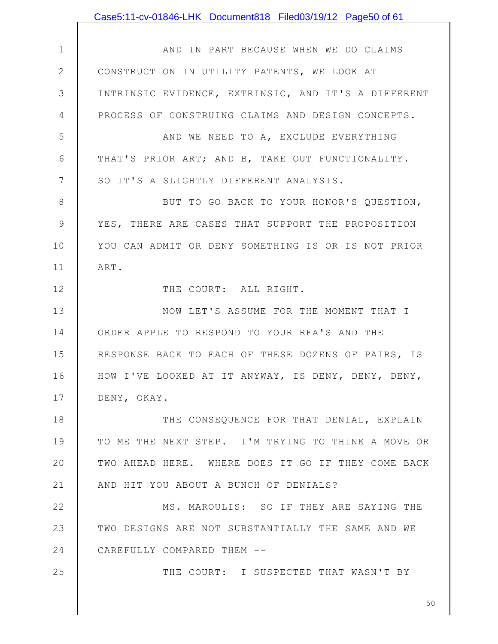1 2 3 4 5 6 7 8 9 10 11 12 13 14 15 16 17 18 19 20 21 22 23 24 25 AND IN PART BECAUSE WHEN WE DO CLAIMS CONSTRUCTION IN UTILITY PATENTS, WE LOOK AT INTRINSIC EVIDENCE, EXTRINSIC, AND IT'S A DIFFERENT PROCESS OF CONSTRUING CLAIMS AND DESIGN CONCEPTS. AND WE NEED TO A, EXCLUDE EVERYTHING THAT'S PRIOR ART; AND B, TAKE OUT FUNCTIONALITY. SO IT'S A SLIGHTLY DIFFERENT ANALYSIS. BUT TO GO BACK TO YOUR HONOR'S QUESTION, YES, THERE ARE CASES THAT SUPPORT THE PROPOSITION YOU CAN ADMIT OR DENY SOMETHING IS OR IS NOT PRIOR ART. THE COURT: ALL RIGHT. NOW LET'S ASSUME FOR THE MOMENT THAT I ORDER APPLE TO RESPOND TO YOUR RFA'S AND THE RESPONSE BACK TO EACH OF THESE DOZENS OF PAIRS, IS HOW I'VE LOOKED AT IT ANYWAY, IS DENY, DENY, DENY, DENY, OKAY. THE CONSEQUENCE FOR THAT DENIAL, EXPLAIN TO ME THE NEXT STEP. I'M TRYING TO THINK A MOVE OR TWO AHEAD HERE. WHERE DOES IT GO IF THEY COME BACK AND HIT YOU ABOUT A BUNCH OF DENIALS? MS. MAROULIS: SO IF THEY ARE SAYING THE TWO DESIGNS ARE NOT SUBSTANTIALLY THE SAME AND WE CAREFULLY COMPARED THEM -- THE COURT: I SUSPECTED THAT WASN'T BY Case5:11-cv-01846-LHK Document818 Filed03/19/12 Page50 of 61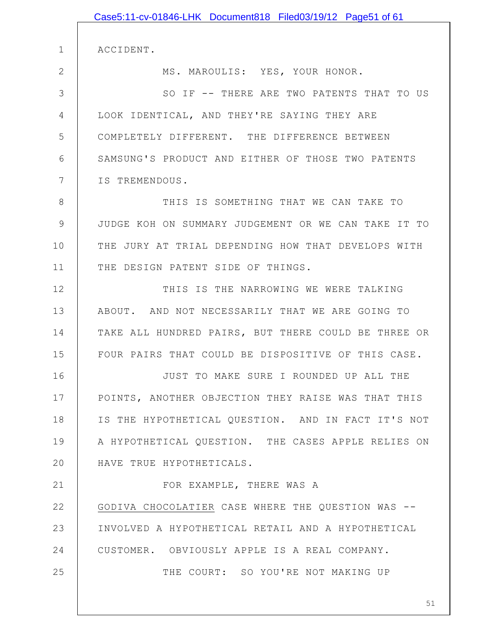|               | Case5:11-cv-01846-LHK Document818 Filed03/19/12 Page51 of 61 |
|---------------|--------------------------------------------------------------|
|               |                                                              |
| $\mathbf 1$   | ACCIDENT.                                                    |
| $\mathbf{2}$  | MS. MAROULIS: YES, YOUR HONOR.                               |
| 3             | SO IF -- THERE ARE TWO PATENTS THAT TO US                    |
| 4             | LOOK IDENTICAL, AND THEY'RE SAYING THEY ARE                  |
| 5             | COMPLETELY DIFFERENT. THE DIFFERENCE BETWEEN                 |
| 6             | SAMSUNG'S PRODUCT AND EITHER OF THOSE TWO PATENTS            |
| 7             | IS TREMENDOUS.                                               |
| 8             | THIS IS SOMETHING THAT WE CAN TAKE TO                        |
| $\mathcal{G}$ | JUDGE KOH ON SUMMARY JUDGEMENT OR WE CAN TAKE IT TO          |
| 10            | THE JURY AT TRIAL DEPENDING HOW THAT DEVELOPS WITH           |
| 11            | THE DESIGN PATENT SIDE OF THINGS.                            |
| 12            | THIS IS THE NARROWING WE WERE TALKING                        |
| 13            | ABOUT. AND NOT NECESSARILY THAT WE ARE GOING TO              |
| 14            | TAKE ALL HUNDRED PAIRS, BUT THERE COULD BE THREE OR          |
| 15            | FOUR PAIRS THAT COULD BE DISPOSITIVE OF THIS CASE.           |
| 16            | JUST TO MAKE SURE I ROUNDED UP ALL THE                       |
| 17            | POINTS, ANOTHER OBJECTION THEY RAISE WAS THAT THIS           |
| 18            | IS THE HYPOTHETICAL QUESTION. AND IN FACT IT'S NOT           |
| 19            | A HYPOTHETICAL QUESTION. THE CASES APPLE RELIES ON           |
| 20            | HAVE TRUE HYPOTHETICALS.                                     |
| 21            | FOR EXAMPLE, THERE WAS A                                     |
| 22            | GODIVA CHOCOLATIER CASE WHERE THE QUESTION WAS --            |
| 23            | INVOLVED A HYPOTHETICAL RETAIL AND A HYPOTHETICAL            |
| 24            | CUSTOMER. OBVIOUSLY APPLE IS A REAL COMPANY.                 |
| 25            | THE COURT: SO YOU'RE NOT MAKING UP                           |
|               |                                                              |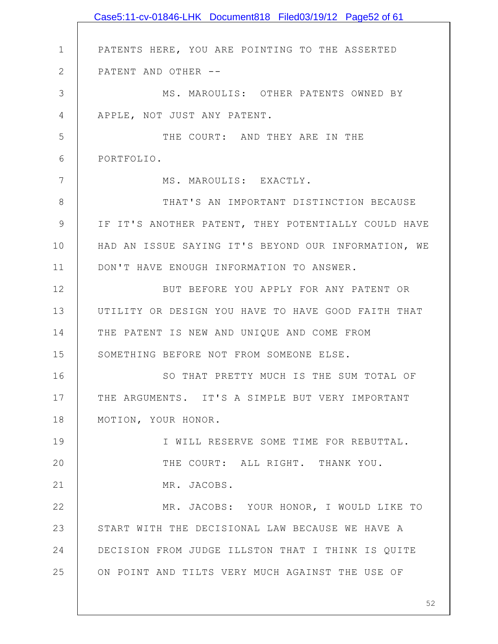|               | Case5:11-cv-01846-LHK Document818 Filed03/19/12 Page52 of 61 |
|---------------|--------------------------------------------------------------|
|               |                                                              |
| $\mathbf 1$   | PATENTS HERE, YOU ARE POINTING TO THE ASSERTED               |
| $\mathbf{2}$  | PATENT AND OTHER --                                          |
| 3             | MS. MAROULIS: OTHER PATENTS OWNED BY                         |
| 4             | APPLE, NOT JUST ANY PATENT.                                  |
| 5             | THE COURT: AND THEY ARE IN THE                               |
| 6             | PORTFOLIO.                                                   |
| 7             | MS. MAROULIS: EXACTLY.                                       |
| 8             | THAT'S AN IMPORTANT DISTINCTION BECAUSE                      |
| $\mathcal{G}$ | IF IT'S ANOTHER PATENT, THEY POTENTIALLY COULD HAVE          |
| 10            | HAD AN ISSUE SAYING IT'S BEYOND OUR INFORMATION, WE          |
| 11            | DON'T HAVE ENOUGH INFORMATION TO ANSWER.                     |
| 12            | BUT BEFORE YOU APPLY FOR ANY PATENT OR                       |
| 13            | UTILITY OR DESIGN YOU HAVE TO HAVE GOOD FAITH THAT           |
| 14            | THE PATENT IS NEW AND UNIQUE AND COME FROM                   |
| 15            | SOMETHING BEFORE NOT FROM SOMEONE ELSE.                      |
| 16            | SO THAT PRETTY MUCH IS THE SUM TOTAL OF                      |
| 17            | THE ARGUMENTS. IT'S A SIMPLE BUT VERY IMPORTANT              |
| 18            | MOTION, YOUR HONOR.                                          |
| 19            | I WILL RESERVE SOME TIME FOR REBUTTAL.                       |
| 20            | THE COURT: ALL RIGHT. THANK YOU.                             |
| 21            | MR. JACOBS.                                                  |
| 22            | MR. JACOBS: YOUR HONOR, I WOULD LIKE TO                      |
| 23            | START WITH THE DECISIONAL LAW BECAUSE WE HAVE A              |
| 24            | DECISION FROM JUDGE ILLSTON THAT I THINK IS QUITE            |
| 25            | ON POINT AND TILTS VERY MUCH AGAINST THE USE OF              |
|               |                                                              |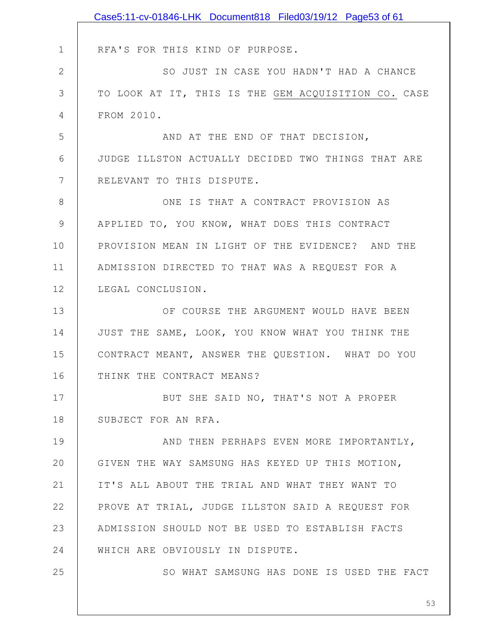|               | Case5:11-cv-01846-LHK Document818 Filed03/19/12 Page53 of 61 |
|---------------|--------------------------------------------------------------|
|               |                                                              |
| $\mathbf 1$   | RFA'S FOR THIS KIND OF PURPOSE.                              |
| $\mathbf{2}$  | SO JUST IN CASE YOU HADN'T HAD A CHANCE                      |
| 3             | TO LOOK AT IT, THIS IS THE GEM ACQUISITION CO. CASE          |
| 4             | FROM 2010.                                                   |
| 5             | AND AT THE END OF THAT DECISION,                             |
| 6             | JUDGE ILLSTON ACTUALLY DECIDED TWO THINGS THAT ARE           |
| 7             | RELEVANT TO THIS DISPUTE.                                    |
| 8             | ONE IS THAT A CONTRACT PROVISION AS                          |
| $\mathcal{G}$ | APPLIED TO, YOU KNOW, WHAT DOES THIS CONTRACT                |
| 10            | PROVISION MEAN IN LIGHT OF THE EVIDENCE? AND THE             |
| 11            | ADMISSION DIRECTED TO THAT WAS A REQUEST FOR A               |
| 12            | LEGAL CONCLUSION.                                            |
| 13            | OF COURSE THE ARGUMENT WOULD HAVE BEEN                       |
| 14            | JUST THE SAME, LOOK, YOU KNOW WHAT YOU THINK THE             |
| 15            | CONTRACT MEANT, ANSWER THE QUESTION. WHAT DO YOU             |
| 16            | THINK THE CONTRACT MEANS?                                    |
| 17            | BUT SHE SAID NO, THAT'S NOT A PROPER                         |
| 18            | SUBJECT FOR AN RFA.                                          |
| 19            | AND THEN PERHAPS EVEN MORE IMPORTANTLY,                      |
| 20            | GIVEN THE WAY SAMSUNG HAS KEYED UP THIS MOTION,              |
| 21            | IT'S ALL ABOUT THE TRIAL AND WHAT THEY WANT TO               |
| 22            | PROVE AT TRIAL, JUDGE ILLSTON SAID A REQUEST FOR             |
| 23            | ADMISSION SHOULD NOT BE USED TO ESTABLISH FACTS              |
| 24            | WHICH ARE OBVIOUSLY IN DISPUTE.                              |
| 25            | SO WHAT SAMSUNG HAS DONE IS USED THE FACT                    |
|               |                                                              |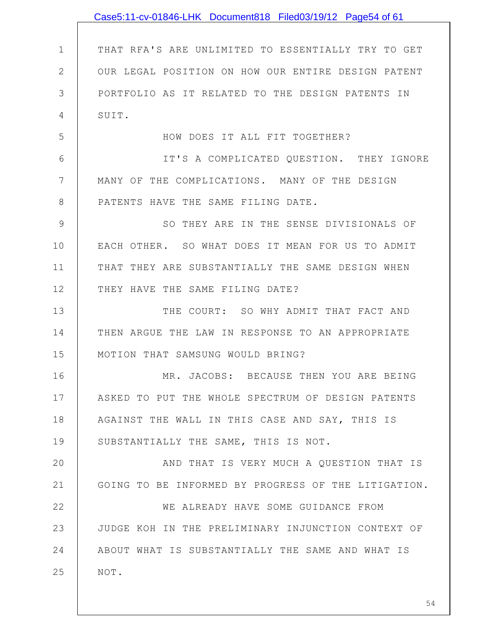|              | Case5:11-cv-01846-LHK Document818 Filed03/19/12 Page54 of 61 |
|--------------|--------------------------------------------------------------|
|              |                                                              |
| $\mathbf 1$  | THAT RFA'S ARE UNLIMITED TO ESSENTIALLY TRY TO GET           |
| $\mathbf{2}$ | OUR LEGAL POSITION ON HOW OUR ENTIRE DESIGN PATENT           |
| 3            | PORTFOLIO AS IT RELATED TO THE DESIGN PATENTS IN             |
| 4            | SUIT.                                                        |
| 5            | HOW DOES IT ALL FIT TOGETHER?                                |
| 6            | IT'S A COMPLICATED QUESTION. THEY IGNORE                     |
| 7            | MANY OF THE COMPLICATIONS. MANY OF THE DESIGN                |
| 8            | PATENTS HAVE THE SAME FILING DATE.                           |
| 9            | SO THEY ARE IN THE SENSE DIVISIONALS OF                      |
| 10           | EACH OTHER. SO WHAT DOES IT MEAN FOR US TO ADMIT             |
| 11           | THAT THEY ARE SUBSTANTIALLY THE SAME DESIGN WHEN             |
| 12           | THEY HAVE THE SAME FILING DATE?                              |
| 13           | THE COURT: SO WHY ADMIT THAT FACT AND                        |
| 14           | THEN ARGUE THE LAW IN RESPONSE TO AN APPROPRIATE             |
| 15           | MOTION THAT SAMSUNG WOULD BRING?                             |
| 16           | MR. JACOBS: BECAUSE THEN YOU ARE BEING                       |
| 17           | ASKED TO PUT THE WHOLE SPECTRUM OF DESIGN PATENTS            |
| 18           | AGAINST THE WALL IN THIS CASE AND SAY, THIS IS               |
| 19           | SUBSTANTIALLY THE SAME, THIS IS NOT.                         |
| 20           | AND THAT IS VERY MUCH A QUESTION THAT IS                     |
| 21           | GOING TO BE INFORMED BY PROGRESS OF THE LITIGATION.          |
| 22           | WE ALREADY HAVE SOME GUIDANCE FROM                           |
| 23           | JUDGE KOH IN THE PRELIMINARY INJUNCTION CONTEXT OF           |
| 24           | ABOUT WHAT IS SUBSTANTIALLY THE SAME AND WHAT IS             |
| 25           | NOT.                                                         |
|              |                                                              |
|              | 54                                                           |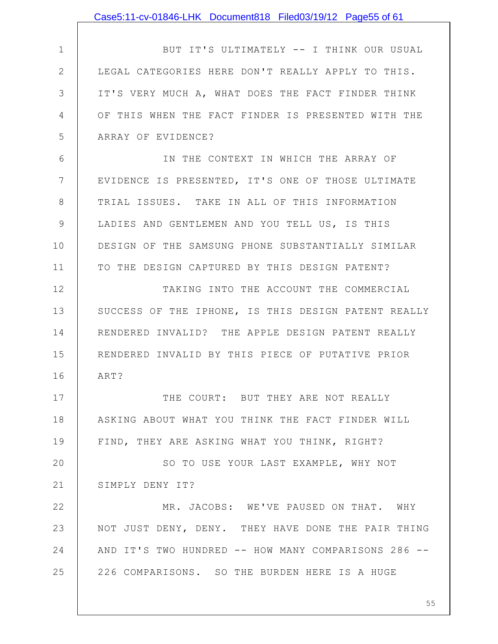|               | Case5:11-cv-01846-LHK Document818 Filed03/19/12 Page55 of 61 |
|---------------|--------------------------------------------------------------|
|               |                                                              |
| $\mathbf 1$   | BUT IT'S ULTIMATELY -- I THINK OUR USUAL                     |
| $\mathbf{2}$  | LEGAL CATEGORIES HERE DON'T REALLY APPLY TO THIS.            |
| 3             | IT'S VERY MUCH A, WHAT DOES THE FACT FINDER THINK            |
| 4             | OF THIS WHEN THE FACT FINDER IS PRESENTED WITH THE           |
| 5             | ARRAY OF EVIDENCE?                                           |
| 6             | IN THE CONTEXT IN WHICH THE ARRAY OF                         |
| 7             | EVIDENCE IS PRESENTED, IT'S ONE OF THOSE ULTIMATE            |
| 8             | TRIAL ISSUES. TAKE IN ALL OF THIS INFORMATION                |
| $\mathcal{G}$ | LADIES AND GENTLEMEN AND YOU TELL US, IS THIS                |
| 10            | DESIGN OF THE SAMSUNG PHONE SUBSTANTIALLY SIMILAR            |
| 11            | TO THE DESIGN CAPTURED BY THIS DESIGN PATENT?                |
| 12            | TAKING INTO THE ACCOUNT THE COMMERCIAL                       |
| 13            | SUCCESS OF THE IPHONE, IS THIS DESIGN PATENT REALLY          |
| 14            | RENDERED INVALID? THE APPLE DESIGN PATENT REALLY             |
| 15            | RENDERED INVALID BY THIS PIECE OF PUTATIVE PRIOR             |
| 16            | ART?                                                         |
| 17            | THE COURT: BUT THEY ARE NOT REALLY                           |
| 18            | ASKING ABOUT WHAT YOU THINK THE FACT FINDER WILL             |
| 19            | FIND, THEY ARE ASKING WHAT YOU THINK, RIGHT?                 |
| 20            | SO TO USE YOUR LAST EXAMPLE, WHY NOT                         |
| 21            | SIMPLY DENY IT?                                              |
| 22            | MR. JACOBS: WE'VE PAUSED ON THAT. WHY                        |
| 23            | NOT JUST DENY, DENY. THEY HAVE DONE THE PAIR THING           |
| 24            | AND IT'S TWO HUNDRED -- HOW MANY COMPARISONS 286 --          |
| 25            | 226 COMPARISONS. SO THE BURDEN HERE IS A HUGE                |
|               |                                                              |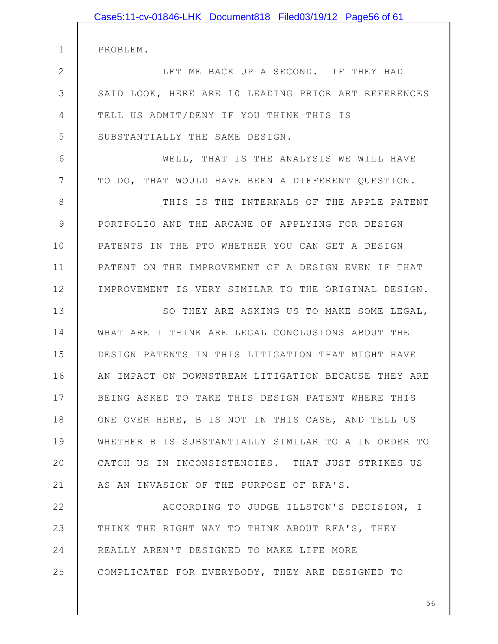|              | Case5:11-cv-01846-LHK Document818 Filed03/19/12 Page56 of 61 |
|--------------|--------------------------------------------------------------|
|              |                                                              |
| $\mathbf 1$  | PROBLEM.                                                     |
| $\mathbf{2}$ | LET ME BACK UP A SECOND. IF THEY HAD                         |
| 3            | SAID LOOK, HERE ARE 10 LEADING PRIOR ART REFERENCES          |
| 4            | TELL US ADMIT/DENY IF YOU THINK THIS IS                      |
| 5            | SUBSTANTIALLY THE SAME DESIGN.                               |
| 6            | WELL, THAT IS THE ANALYSIS WE WILL HAVE                      |
| 7            | TO DO, THAT WOULD HAVE BEEN A DIFFERENT QUESTION.            |
| 8            | THIS IS THE INTERNALS OF THE APPLE PATENT                    |
| 9            | PORTFOLIO AND THE ARCANE OF APPLYING FOR DESIGN              |
| 10           | PATENTS IN THE PTO WHETHER YOU CAN GET A DESIGN              |
| 11           | PATENT ON THE IMPROVEMENT OF A DESIGN EVEN IF THAT           |
| 12           | IMPROVEMENT IS VERY SIMILAR TO THE ORIGINAL DESIGN.          |
| 13           | SO THEY ARE ASKING US TO MAKE SOME LEGAL,                    |
| 14           | WHAT ARE I THINK ARE LEGAL CONCLUSIONS ABOUT THE             |
| 15           | DESIGN PATENTS IN THIS LITIGATION THAT MIGHT HAVE            |
| 16           | AN IMPACT ON DOWNSTREAM LITIGATION BECAUSE THEY ARE          |
| 17           | BEING ASKED TO TAKE THIS DESIGN PATENT WHERE THIS            |
| 18           | ONE OVER HERE, B IS NOT IN THIS CASE, AND TELL US            |
| 19           | WHETHER B IS SUBSTANTIALLY SIMILAR TO A IN ORDER TO          |
| 20           | CATCH US IN INCONSISTENCIES. THAT JUST STRIKES US            |
| 21           | AS AN INVASION OF THE PURPOSE OF RFA'S.                      |
| 22           | ACCORDING TO JUDGE ILLSTON'S DECISION, I                     |
| 23           | THINK THE RIGHT WAY TO THINK ABOUT RFA'S, THEY               |
| 24           | REALLY AREN'T DESIGNED TO MAKE LIFE MORE                     |
| 25           | COMPLICATED FOR EVERYBODY, THEY ARE DESIGNED TO              |
|              |                                                              |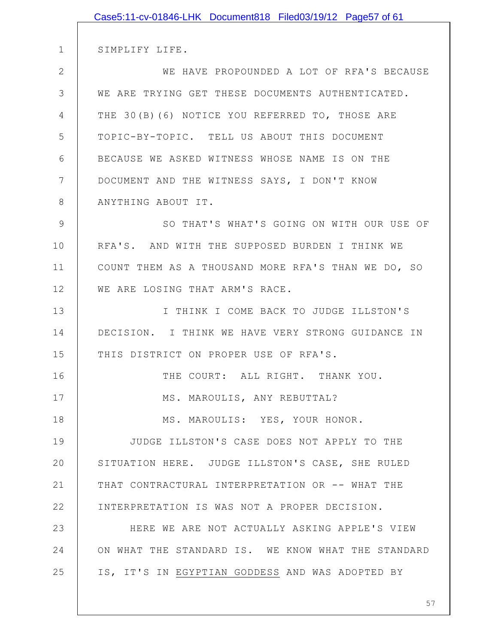|                | Case5:11-cv-01846-LHK Document818 Filed03/19/12 Page57 of 61 |
|----------------|--------------------------------------------------------------|
|                |                                                              |
| 1              | SIMPLIFY LIFE.                                               |
| $\overline{2}$ | WE HAVE PROPOUNDED A LOT OF RFA'S BECAUSE                    |
| 3              | WE ARE TRYING GET THESE DOCUMENTS AUTHENTICATED.             |
| 4              | THE 30(B)(6) NOTICE YOU REFERRED TO, THOSE ARE               |
| 5              | TOPIC-BY-TOPIC. TELL US ABOUT THIS DOCUMENT                  |
| 6              | BECAUSE WE ASKED WITNESS WHOSE NAME IS ON THE                |
| 7              | DOCUMENT AND THE WITNESS SAYS, I DON'T KNOW                  |
| 8              | ANYTHING ABOUT IT.                                           |
| 9              | SO THAT'S WHAT'S GOING ON WITH OUR USE OF                    |
| 10             | RFA'S. AND WITH THE SUPPOSED BURDEN I THINK WE               |
| 11             | COUNT THEM AS A THOUSAND MORE RFA'S THAN WE DO, SO           |
| 12             | WE ARE LOSING THAT ARM'S RACE.                               |
| 13             | I THINK I COME BACK TO JUDGE ILLSTON'S                       |
| 14             | DECISION. I THINK WE HAVE VERY STRONG GUIDANCE IN            |
| 15             | THIS DISTRICT ON PROPER USE OF RFA'S.                        |
| 16             | THE COURT: ALL RIGHT. THANK YOU.                             |
| 17             | MS. MAROULIS, ANY REBUTTAL?                                  |
| 18             | MS. MAROULIS: YES, YOUR HONOR.                               |
| 19             | JUDGE ILLSTON'S CASE DOES NOT APPLY TO THE                   |
| 20             | SITUATION HERE. JUDGE ILLSTON'S CASE, SHE RULED              |
| 21             | THAT CONTRACTURAL INTERPRETATION OR -- WHAT THE              |
| 22             | INTERPRETATION IS WAS NOT A PROPER DECISION.                 |
| 23             | HERE WE ARE NOT ACTUALLY ASKING APPLE'S VIEW                 |
| 24             | ON WHAT THE STANDARD IS. WE KNOW WHAT THE STANDARD           |
| 25             | IS, IT'S IN EGYPTIAN GODDESS AND WAS ADOPTED BY              |
|                |                                                              |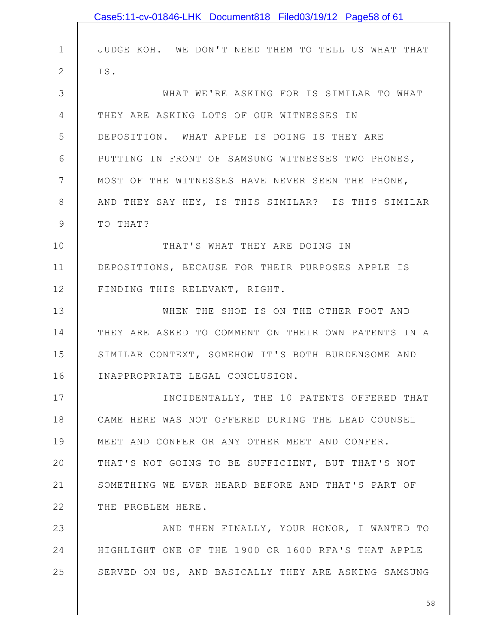|                | Case5:11-cv-01846-LHK Document818 Filed03/19/12 Page58 of 61 |
|----------------|--------------------------------------------------------------|
|                |                                                              |
| $\mathbf 1$    | JUDGE KOH. WE DON'T NEED THEM TO TELL US WHAT THAT           |
| $\overline{2}$ | IS.                                                          |
| 3              | WHAT WE'RE ASKING FOR IS SIMILAR TO WHAT                     |
| $\overline{4}$ | THEY ARE ASKING LOTS OF OUR WITNESSES IN                     |
| 5              | DEPOSITION. WHAT APPLE IS DOING IS THEY ARE                  |
| 6              | PUTTING IN FRONT OF SAMSUNG WITNESSES TWO PHONES,            |
| 7              | MOST OF THE WITNESSES HAVE NEVER SEEN THE PHONE,             |
| $8\,$          | AND THEY SAY HEY, IS THIS SIMILAR? IS THIS SIMILAR           |
| $\mathcal{G}$  | TO THAT?                                                     |
| 10             | THAT'S WHAT THEY ARE DOING IN                                |
| 11             | DEPOSITIONS, BECAUSE FOR THEIR PURPOSES APPLE IS             |
| 12             | FINDING THIS RELEVANT, RIGHT.                                |
| 13             | WHEN THE SHOE IS ON THE OTHER FOOT AND                       |
| 14             | THEY ARE ASKED TO COMMENT ON THEIR OWN PATENTS IN A          |
| 15             | SIMILAR CONTEXT, SOMEHOW IT'S BOTH BURDENSOME AND            |
| 16             | INAPPROPRIATE LEGAL CONCLUSION.                              |
| 17             | INCIDENTALLY, THE 10 PATENTS OFFERED THAT                    |
| 18             | CAME HERE WAS NOT OFFERED DURING THE LEAD COUNSEL            |
| 19             | MEET AND CONFER OR ANY OTHER MEET AND CONFER.                |
| 20             | THAT'S NOT GOING TO BE SUFFICIENT, BUT THAT'S NOT            |
| 21             | SOMETHING WE EVER HEARD BEFORE AND THAT'S PART OF            |
| 22             | THE PROBLEM HERE.                                            |
| 23             | AND THEN FINALLY, YOUR HONOR, I WANTED TO                    |
| 24             | HIGHLIGHT ONE OF THE 1900 OR 1600 RFA'S THAT APPLE           |
| 25             | SERVED ON US, AND BASICALLY THEY ARE ASKING SAMSUNG          |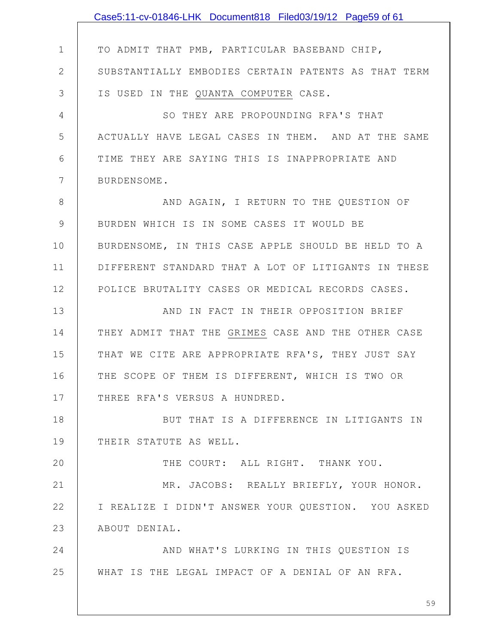|                | Case5:11-cv-01846-LHK Document818 Filed03/19/12 Page59 of 61 |
|----------------|--------------------------------------------------------------|
|                |                                                              |
| $\mathbf 1$    | TO ADMIT THAT PMB, PARTICULAR BASEBAND CHIP,                 |
| 2              | SUBSTANTIALLY EMBODIES CERTAIN PATENTS AS THAT TERM          |
| 3              | IS USED IN THE QUANTA COMPUTER CASE.                         |
| $\overline{4}$ | SO THEY ARE PROPOUNDING RFA'S THAT                           |
| 5              | ACTUALLY HAVE LEGAL CASES IN THEM. AND AT THE SAME           |
| 6              | TIME THEY ARE SAYING THIS IS INAPPROPRIATE AND               |
| $\overline{7}$ | BURDENSOME.                                                  |
| 8              | AND AGAIN, I RETURN TO THE QUESTION OF                       |
| 9              | BURDEN WHICH IS IN SOME CASES IT WOULD BE                    |
| 10             | BURDENSOME, IN THIS CASE APPLE SHOULD BE HELD TO A           |
| 11             | DIFFERENT STANDARD THAT A LOT OF LITIGANTS IN THESE          |
| 12             | POLICE BRUTALITY CASES OR MEDICAL RECORDS CASES.             |
| 13             | AND IN FACT IN THEIR OPPOSITION BRIEF                        |
| 14             | THEY ADMIT THAT THE GRIMES CASE AND THE OTHER CASE           |
| 15             | THAT WE CITE ARE APPROPRIATE RFA'S, THEY JUST SAY            |
| 16             | THE SCOPE OF THEM IS DIFFERENT, WHICH IS TWO OR              |
| 17             | THREE RFA'S VERSUS A HUNDRED.                                |
| 18             | BUT THAT IS A DIFFERENCE IN LITIGANTS IN                     |
| 19             | THEIR STATUTE AS WELL.                                       |
| 20             | THE COURT: ALL RIGHT. THANK YOU.                             |
| 21             | MR. JACOBS: REALLY BRIEFLY, YOUR HONOR.                      |
| 22             | I REALIZE I DIDN'T ANSWER YOUR QUESTION. YOU ASKED           |
| 23             | ABOUT DENIAL.                                                |
| 24             | AND WHAT'S LURKING IN THIS QUESTION IS                       |
| 25             | WHAT IS THE LEGAL IMPACT OF A DENIAL OF AN RFA.              |
|                |                                                              |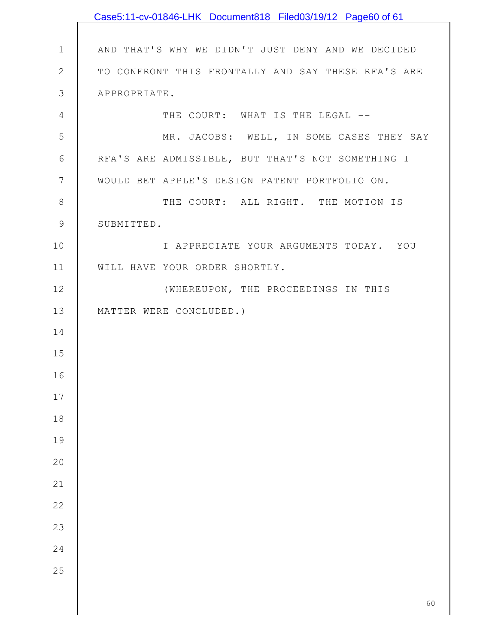|               | Case5:11-cv-01846-LHK Document818 Filed03/19/12 Page60 of 61 |
|---------------|--------------------------------------------------------------|
|               |                                                              |
| $\mathbf 1$   | AND THAT'S WHY WE DIDN'T JUST DENY AND WE DECIDED            |
| $\mathbf{2}$  | TO CONFRONT THIS FRONTALLY AND SAY THESE RFA'S ARE           |
| $\mathcal{S}$ | APPROPRIATE.                                                 |
| 4             | THE COURT: WHAT IS THE LEGAL --                              |
| 5             | MR. JACOBS: WELL, IN SOME CASES THEY SAY                     |
| 6             | RFA'S ARE ADMISSIBLE, BUT THAT'S NOT SOMETHING I             |
| 7             | WOULD BET APPLE'S DESIGN PATENT PORTFOLIO ON.                |
| $\,8\,$       | THE COURT: ALL RIGHT. THE MOTION IS                          |
| 9             | SUBMITTED.                                                   |
| 10            | I APPRECIATE YOUR ARGUMENTS TODAY. YOU                       |
| 11            | WILL HAVE YOUR ORDER SHORTLY.                                |
| 12            | (WHEREUPON, THE PROCEEDINGS IN THIS                          |
| 13            | MATTER WERE CONCLUDED.)                                      |
| 14            |                                                              |
| 15            |                                                              |
| 16            |                                                              |
| 17            |                                                              |
| 18            |                                                              |
| 19            |                                                              |
| 20            |                                                              |
| 21            |                                                              |
| 22            |                                                              |
| 23            |                                                              |
| 24            |                                                              |
| 25            |                                                              |
|               |                                                              |
|               | 60                                                           |

 $\mathsf{l}$